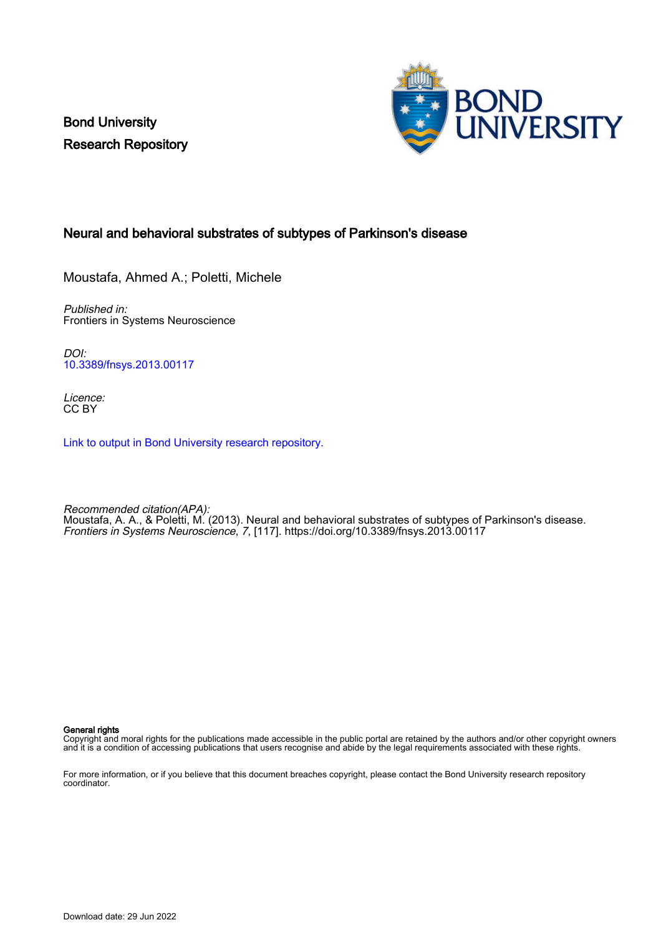Bond University Research Repository



# Neural and behavioral substrates of subtypes of Parkinson's disease

Moustafa, Ahmed A.; Poletti, Michele

Published in: Frontiers in Systems Neuroscience

DOI: [10.3389/fnsys.2013.00117](https://doi.org/10.3389/fnsys.2013.00117)

Licence: CC BY

[Link to output in Bond University research repository.](https://research.bond.edu.au/en/publications/bcd311cf-f0d0-497b-ab4f-5b03db45cc62)

Recommended citation(APA): Moustafa, A. A., & Poletti, M. (2013). Neural and behavioral substrates of subtypes of Parkinson's disease. Frontiers in Systems Neuroscience, 7, [117].<https://doi.org/10.3389/fnsys.2013.00117>

General rights

Copyright and moral rights for the publications made accessible in the public portal are retained by the authors and/or other copyright owners and it is a condition of accessing publications that users recognise and abide by the legal requirements associated with these rights.

For more information, or if you believe that this document breaches copyright, please contact the Bond University research repository coordinator.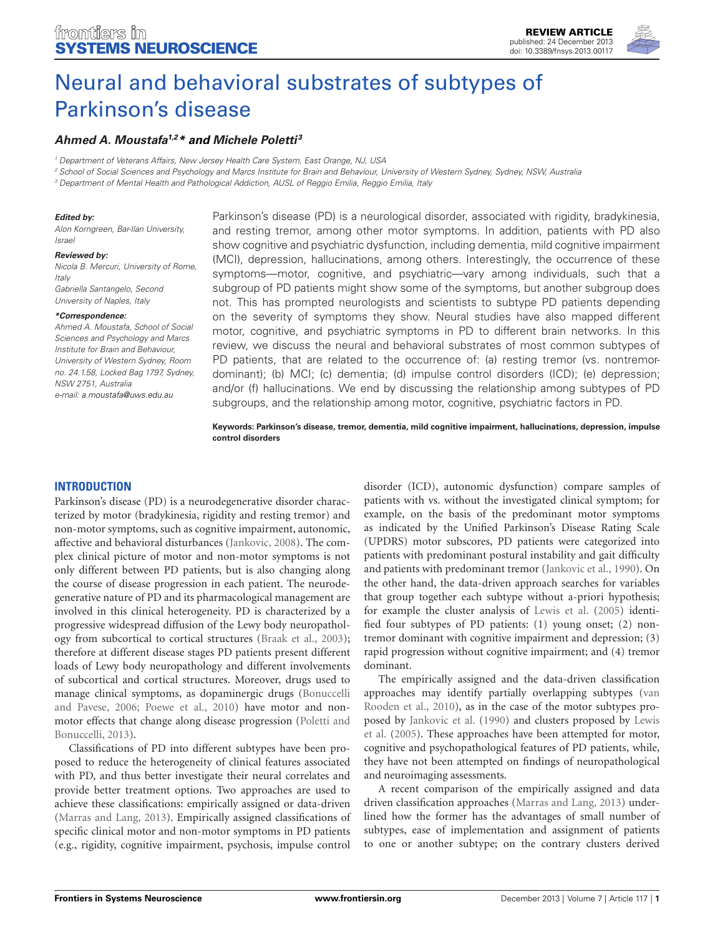

# **[Ahmed A. Moustafa](http://www.frontiersin.org/people/u/15417)1,2\* and [Michele Poletti](http://www.frontiersin.org/people/u/117490) <sup>3</sup>**

<sup>1</sup> Department of Veterans Affairs, New Jersey Health Care System, East Orange, NJ, USA

<sup>2</sup> School of Social Sciences and Psychology and Marcs Institute for Brain and Behaviour, University of Western Sydney, Sydney, NSW, Australia

<sup>3</sup> Department of Mental Health and Pathological Addiction, AUSL of Reggio Emilia, Reggio Emilia, Italy

#### **Edited by:**

Alon Korngreen, Bar-Ilan University, Israel

#### **Reviewed by:**

Nicola B. Mercuri, University of Rome, Italy Gabriella Santangelo, Second University of Naples, Italy

#### **\*Correspondence:**

Ahmed A. Moustafa, School of Social Sciences and Psychology and Marcs Institute for Brain and Behaviour, University of Western Sydney, Room no. 24.1.58, Locked Bag 1797, Sydney, NSW 2751, Australia e-mail: [a.moustafa@uws.edu.au](mailto:a.moustafa@uws.edu.au)

Parkinson's disease (PD) is a neurological disorder, associated with rigidity, bradykinesia, and resting tremor, among other motor symptoms. In addition, patients with PD also show cognitive and psychiatric dysfunction, including dementia, mild cognitive impairment (MCI), depression, hallucinations, among others. Interestingly, the occurrence of these symptoms—motor, cognitive, and psychiatric—vary among individuals, such that a subgroup of PD patients might show some of the symptoms, but another subgroup does not. This has prompted neurologists and scientists to subtype PD patients depending on the severity of symptoms they show. Neural studies have also mapped different motor, cognitive, and psychiatric symptoms in PD to different brain networks. In this review, we discuss the neural and behavioral substrates of most common subtypes of PD patients, that are related to the occurrence of: (a) resting tremor (vs. nontremordominant); (b) MCI; (c) dementia; (d) impulse control disorders (ICD); (e) depression; and/or (f) hallucinations. We end by discussing the relationship among subtypes of PD subgroups, and the relationship among motor, cognitive, psychiatric factors in PD.

**Keywords: Parkinson's disease, tremor, dementia, mild cognitive impairment, hallucinations, depression, impulse control disorders**

### **INTRODUCTION**

Parkinson's disease (PD) is a neurodegenerative disorder characterized by motor (bradykinesia, rigidity and resting tremor) and non-motor symptoms, such as cognitive impairment, autonomic, affective and behavioral disturbances [\(Jankovic, 2008\)](#page-8-0). The complex clinical picture of motor and non-motor symptoms is not only different between PD patients, but is also changing along the course of disease progression in each patient. The neurodegenerative nature of PD and its pharmacological management are involved in this clinical heterogeneity. PD is characterized by a progressive widespread diffusion of the Lewy body neuropathology from subcortical to cortical structures [\(Braak et al., 2003\)](#page-6-0); therefore at different disease stages PD patients present different loads of Lewy body neuropathology and different involvements of subcortical and cortical structures. Moreover, drugs used to manage clinical symptoms, as dopaminergic drugs [\(Bonuccelli](#page-6-1) [and Pavese, 2006;](#page-6-1) [Poewe et al., 2010\)](#page-9-0) have motor and nonmotor effects that change along disease progression [\(Poletti and](#page-9-1) [Bonuccelli, 2013\)](#page-9-1).

Classifications of PD into different subtypes have been proposed to reduce the heterogeneity of clinical features associated with PD, and thus better investigate their neural correlates and provide better treatment options. Two approaches are used to achieve these classifications: empirically assigned or data-driven [\(Marras and Lang, 2013\)](#page-8-1). Empirically assigned classifications of specific clinical motor and non-motor symptoms in PD patients (e.g., rigidity, cognitive impairment, psychosis, impulse control

disorder (ICD), autonomic dysfunction) compare samples of patients with vs. without the investigated clinical symptom; for example, on the basis of the predominant motor symptoms as indicated by the Unified Parkinson's Disease Rating Scale (UPDRS) motor subscores, PD patients were categorized into patients with predominant postural instability and gait difficulty and patients with predominant tremor [\(Jankovic et al., 1990\)](#page-8-2). On the other hand, the data-driven approach searches for variables that group together each subtype without a-priori hypothesis; for example the cluster analysis of [Lewis et al.](#page-8-3) [\(2005\)](#page-8-3) identified four subtypes of PD patients: (1) young onset; (2) nontremor dominant with cognitive impairment and depression; (3) rapid progression without cognitive impairment; and (4) tremor dominant.

The empirically assigned and the data-driven classification approaches may identify partially overlapping subtypes [\(van](#page-10-0) [Rooden et al., 2010\)](#page-10-0), as in the case of the motor subtypes proposed by [Jankovic et al.](#page-8-2) [\(1990\)](#page-8-2) and clusters proposed by [Lewis](#page-8-3) [et al.](#page-8-3) [\(2005\)](#page-8-3). These approaches have been attempted for motor, cognitive and psychopathological features of PD patients, while, they have not been attempted on findings of neuropathological and neuroimaging assessments.

A recent comparison of the empirically assigned and data driven classification approaches [\(Marras and Lang, 2013\)](#page-8-1) underlined how the former has the advantages of small number of subtypes, ease of implementation and assignment of patients to one or another subtype; on the contrary clusters derived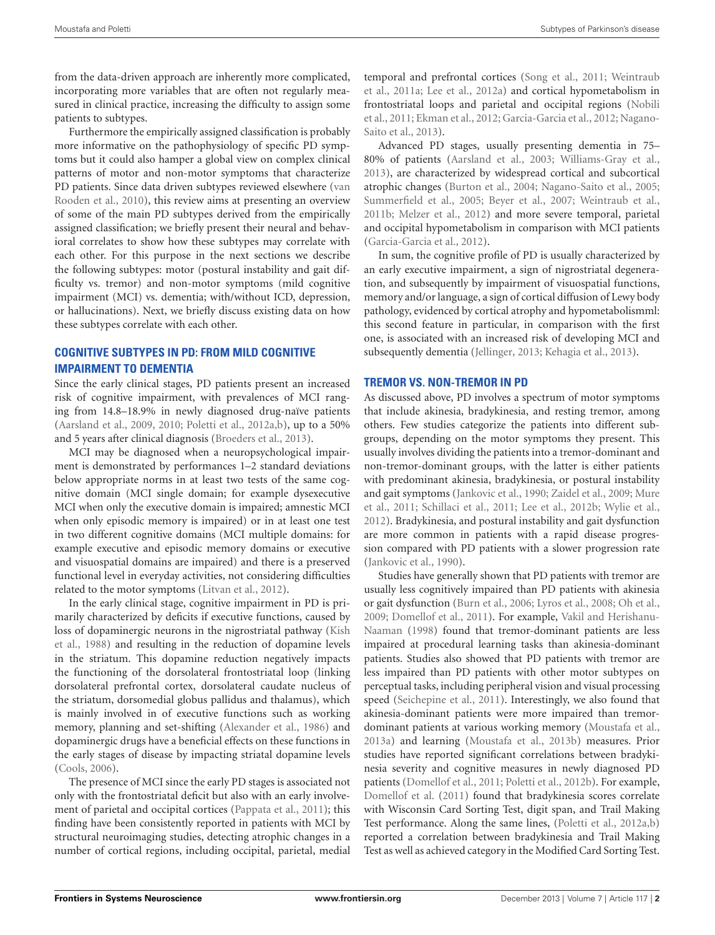from the data-driven approach are inherently more complicated, incorporating more variables that are often not regularly measured in clinical practice, increasing the difficulty to assign some patients to subtypes.

Furthermore the empirically assigned classification is probably more informative on the pathophysiology of specific PD symptoms but it could also hamper a global view on complex clinical patterns of motor and non-motor symptoms that characterize PD patients. Since data driven subtypes reviewed elsewhere [\(van](#page-10-0) [Rooden et al.,](#page-10-0) [2010\)](#page-10-0), this review aims at presenting an overview of some of the main PD subtypes derived from the empirically assigned classification; we briefly present their neural and behavioral correlates to show how these subtypes may correlate with each other. For this purpose in the next sections we describe the following subtypes: motor (postural instability and gait difficulty vs. tremor) and non-motor symptoms (mild cognitive impairment (MCI) vs. dementia; with/without ICD, depression, or hallucinations). Next, we briefly discuss existing data on how these subtypes correlate with each other.

# **COGNITIVE SUBTYPES IN PD: FROM MILD COGNITIVE IMPAIRMENT TO DEMENTIA**

Since the early clinical stages, PD patients present an increased risk of cognitive impairment, with prevalences of MCI ranging from 14.8–18.9% in newly diagnosed drug-naïve patients [\(Aarsland et al.,](#page-6-2) [2009,](#page-6-2) [2010;](#page-6-3) [Poletti et al.,](#page-9-2) [2012a,](#page-9-2)[b\)](#page-9-3), up to a 50% and 5 years after clinical diagnosis [\(Broeders et al.,](#page-6-4) [2013\)](#page-6-4).

MCI may be diagnosed when a neuropsychological impairment is demonstrated by performances 1–2 standard deviations below appropriate norms in at least two tests of the same cognitive domain (MCI single domain; for example dysexecutive MCI when only the executive domain is impaired; amnestic MCI when only episodic memory is impaired) or in at least one test in two different cognitive domains (MCI multiple domains: for example executive and episodic memory domains or executive and visuospatial domains are impaired) and there is a preserved functional level in everyday activities, not considering difficulties related to the motor symptoms [\(Litvan et al.,](#page-8-4) [2012\)](#page-8-4).

In the early clinical stage, cognitive impairment in PD is primarily characterized by deficits if executive functions, caused by loss of dopaminergic neurons in the nigrostriatal pathway [\(Kish](#page-8-5) [et al.,](#page-8-5) [1988\)](#page-8-5) and resulting in the reduction of dopamine levels in the striatum. This dopamine reduction negatively impacts the functioning of the dorsolateral frontostriatal loop (linking dorsolateral prefrontal cortex, dorsolateral caudate nucleus of the striatum, dorsomedial globus pallidus and thalamus), which is mainly involved in of executive functions such as working memory, planning and set-shifting [\(Alexander et al.,](#page-6-5) [1986\)](#page-6-5) and dopaminergic drugs have a beneficial effects on these functions in the early stages of disease by impacting striatal dopamine levels [\(Cools,](#page-7-0) [2006\)](#page-7-0).

The presence of MCI since the early PD stages is associated not only with the frontostriatal deficit but also with an early involvement of parietal and occipital cortices [\(Pappata et al.,](#page-9-4) [2011\)](#page-9-4); this finding have been consistently reported in patients with MCI by structural neuroimaging studies, detecting atrophic changes in a number of cortical regions, including occipital, parietal, medial

temporal and prefrontal cortices [\(Song et al.,](#page-10-1) [2011;](#page-10-1) [Weintraub](#page-10-2) [et al.,](#page-10-2) [2011a;](#page-10-2) [Lee et al.,](#page-8-6) [2012a\)](#page-8-6) and cortical hypometabolism in frontostriatal loops and parietal and occipital regions [\(Nobili](#page-9-5) [et al.,](#page-9-5) [2011;](#page-9-5) [Ekman et al.,](#page-7-1) [2012;](#page-7-1) [Garcia-Garcia et al.,](#page-7-2) [2012;](#page-7-2) [Nagano-](#page-9-6)[Saito et al.,](#page-9-6) [2013\)](#page-9-6).

Advanced PD stages, usually presenting dementia in 75– 80% of patients [\(Aarsland et al.,](#page-6-6) [2003;](#page-6-6) [Williams-Gray et al.,](#page-10-3) [2013\)](#page-10-3), are characterized by widespread cortical and subcortical atrophic changes [\(Burton et al.,](#page-7-3) [2004;](#page-7-3) [Nagano-Saito et al.,](#page-9-7) [2005;](#page-9-7) [Summerfield et al.,](#page-10-4) [2005;](#page-10-4) [Beyer et al.,](#page-6-7) [2007;](#page-6-7) [Weintraub et al.,](#page-10-5) [2011b;](#page-10-5) [Melzer et al.,](#page-8-7) [2012\)](#page-8-7) and more severe temporal, parietal and occipital hypometabolism in comparison with MCI patients [\(Garcia-Garcia et al.,](#page-7-2) [2012\)](#page-7-2).

In sum, the cognitive profile of PD is usually characterized by an early executive impairment, a sign of nigrostriatal degeneration, and subsequently by impairment of visuospatial functions, memory and/or language, a sign of cortical diffusion of Lewy body pathology, evidenced by cortical atrophy and hypometabolismml: this second feature in particular, in comparison with the first one, is associated with an increased risk of developing MCI and subsequently dementia [\(Jellinger,](#page-8-8) [2013;](#page-8-8) [Kehagia et al.,](#page-8-9) [2013\)](#page-8-9).

### **TREMOR VS. NON-TREMOR IN PD**

As discussed above, PD involves a spectrum of motor symptoms that include akinesia, bradykinesia, and resting tremor, among others. Few studies categorize the patients into different subgroups, depending on the motor symptoms they present. This usually involves dividing the patients into a tremor-dominant and non-tremor-dominant groups, with the latter is either patients with predominant akinesia, bradykinesia, or postural instability and gait symptoms [\(Jankovic et al.,](#page-8-2) [1990;](#page-8-2) [Zaidel et al.,](#page-11-0) [2009;](#page-11-0) [Mure](#page-9-8) [et al.,](#page-9-8) [2011;](#page-9-8) [Schillaci et al.,](#page-9-9) [2011;](#page-9-9) [Lee et al.,](#page-8-10) [2012b;](#page-8-10) [Wylie et al.,](#page-10-6) [2012\)](#page-10-6). Bradykinesia, and postural instability and gait dysfunction are more common in patients with a rapid disease progression compared with PD patients with a slower progression rate [\(Jankovic et al.,](#page-8-2) [1990\)](#page-8-2).

Studies have generally shown that PD patients with tremor are usually less cognitively impaired than PD patients with akinesia or gait dysfunction [\(Burn et al.,](#page-7-4) [2006;](#page-7-4) [Lyros et al.,](#page-8-11) [2008;](#page-8-11) [Oh et al.,](#page-9-10) [2009;](#page-9-10) [Domellof et al.,](#page-7-5) [2011\)](#page-7-5). For example, [Vakil and Herishanu-](#page-10-7)[Naaman](#page-10-7) [\(1998\)](#page-10-7) found that tremor-dominant patients are less impaired at procedural learning tasks than akinesia-dominant patients. Studies also showed that PD patients with tremor are less impaired than PD patients with other motor subtypes on perceptual tasks, including peripheral vision and visual processing speed [\(Seichepine et al.,](#page-9-11) [2011\)](#page-9-11). Interestingly, we also found that akinesia-dominant patients were more impaired than tremordominant patients at various working memory [\(Moustafa et al.,](#page-8-12) [2013a\)](#page-8-12) and learning [\(Moustafa et al.,](#page-9-12) [2013b\)](#page-9-12) measures. Prior studies have reported significant correlations between bradykinesia severity and cognitive measures in newly diagnosed PD patients [\(Domellof et al.,](#page-7-5) [2011;](#page-7-5) [Poletti et al.,](#page-9-3) [2012b\)](#page-9-3). For example, [Domellof et al.](#page-7-5) [\(2011\)](#page-7-5) found that bradykinesia scores correlate with Wisconsin Card Sorting Test, digit span, and Trail Making Test performance. Along the same lines, [\(Poletti et al.,](#page-9-2) [2012a,](#page-9-2)[b\)](#page-9-3) reported a correlation between bradykinesia and Trail Making Test as well as achieved category in the Modified Card Sorting Test.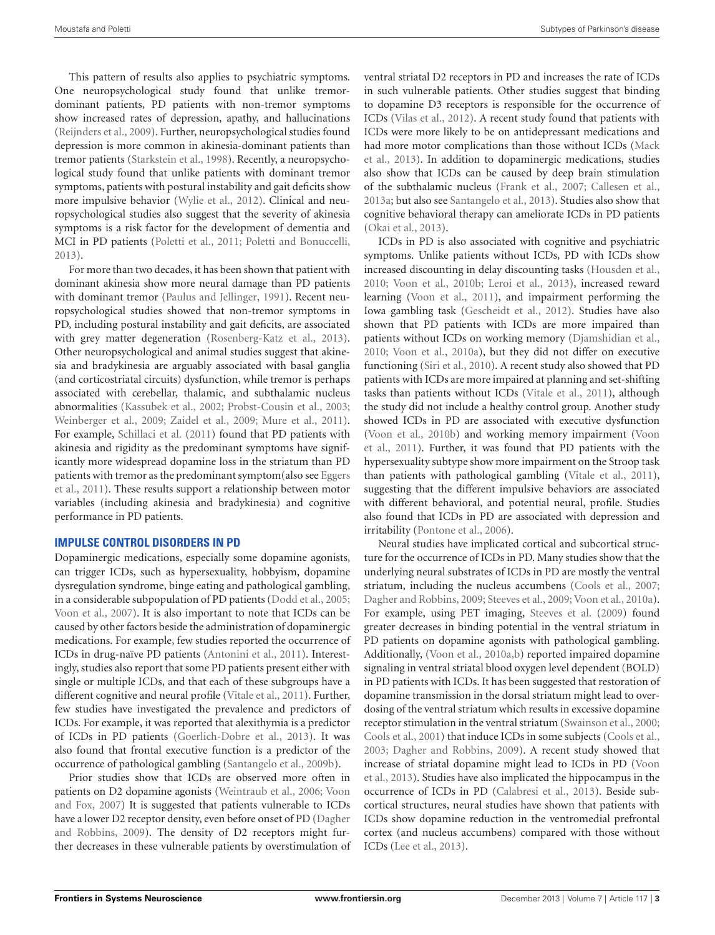This pattern of results also applies to psychiatric symptoms. One neuropsychological study found that unlike tremordominant patients, PD patients with non-tremor symptoms show increased rates of depression, apathy, and hallucinations [\(Reijnders et al.,](#page-9-13) [2009\)](#page-9-13). Further, neuropsychological studies found depression is more common in akinesia-dominant patients than tremor patients [\(Starkstein et al.,](#page-10-8) [1998\)](#page-10-8). Recently, a neuropsychological study found that unlike patients with dominant tremor symptoms, patients with postural instability and gait deficits show more impulsive behavior [\(Wylie et al.,](#page-10-6) [2012\)](#page-10-6). Clinical and neuropsychological studies also suggest that the severity of akinesia symptoms is a risk factor for the development of dementia and MCI in PD patients [\(Poletti et al.,](#page-9-14) [2011;](#page-9-14) [Poletti and Bonuccelli,](#page-9-1) [2013\)](#page-9-1).

For more than two decades, it has been shown that patient with dominant akinesia show more neural damage than PD patients with dominant tremor [\(Paulus and Jellinger,](#page-9-15) [1991\)](#page-9-15). Recent neuropsychological studies showed that non-tremor symptoms in PD, including postural instability and gait deficits, are associated with grey matter degeneration [\(Rosenberg-Katz et al.,](#page-9-16) [2013\)](#page-9-16). Other neuropsychological and animal studies suggest that akinesia and bradykinesia are arguably associated with basal ganglia (and corticostriatal circuits) dysfunction, while tremor is perhaps associated with cerebellar, thalamic, and subthalamic nucleus abnormalities [\(Kassubek et al.,](#page-8-13) [2002;](#page-8-13) [Probst-Cousin et al.,](#page-9-17) [2003;](#page-9-17) [Weinberger et al.,](#page-10-9) [2009;](#page-10-9) [Zaidel et al.,](#page-11-0) [2009;](#page-11-0) [Mure et al.,](#page-9-8) [2011\)](#page-9-8). For example, [Schillaci et al.](#page-9-9) [\(2011\)](#page-9-9) found that PD patients with akinesia and rigidity as the predominant symptoms have significantly more widespread dopamine loss in the striatum than PD patients with tremor as the predominant symptom(also see [Eggers](#page-7-6) [et al.,](#page-7-6) [2011\)](#page-7-6). These results support a relationship between motor variables (including akinesia and bradykinesia) and cognitive performance in PD patients.

# **IMPULSE CONTROL DISORDERS IN PD**

Dopaminergic medications, especially some dopamine agonists, can trigger ICDs, such as hypersexuality, hobbyism, dopamine dysregulation syndrome, binge eating and pathological gambling, in a considerable subpopulation of PD patients [\(Dodd et al.,](#page-7-7) [2005;](#page-7-7) [Voon et al.,](#page-10-10) [2007\)](#page-10-10). It is also important to note that ICDs can be caused by other factors beside the administration of dopaminergic medications. For example, few studies reported the occurrence of ICDs in drug-naïve PD patients [\(Antonini et al.,](#page-6-8) [2011\)](#page-6-8). Interestingly, studies also report that some PD patients present either with single or multiple ICDs, and that each of these subgroups have a different cognitive and neural profile [\(Vitale et al.,](#page-10-11) [2011\)](#page-10-11). Further, few studies have investigated the prevalence and predictors of ICDs. For example, it was reported that alexithymia is a predictor of ICDs in PD patients [\(Goerlich-Dobre et al.,](#page-7-8) [2013\)](#page-7-8). It was also found that frontal executive function is a predictor of the occurrence of pathological gambling [\(Santangelo et al.,](#page-9-18) [2009b\)](#page-9-18).

Prior studies show that ICDs are observed more often in patients on D2 dopamine agonists [\(Weintraub et al.,](#page-10-12) [2006;](#page-10-12) [Voon](#page-10-13) [and Fox,](#page-10-13) [2007\)](#page-10-13) It is suggested that patients vulnerable to ICDs have a lower D2 receptor density, even before onset of PD [\(Dagher](#page-7-9) [and Robbins,](#page-7-9) [2009\)](#page-7-9). The density of D2 receptors might further decreases in these vulnerable patients by overstimulation of ventral striatal D2 receptors in PD and increases the rate of ICDs in such vulnerable patients. Other studies suggest that binding to dopamine D3 receptors is responsible for the occurrence of ICDs [\(Vilas et al.,](#page-10-14) [2012\)](#page-10-14). A recent study found that patients with ICDs were more likely to be on antidepressant medications and had more motor complications than those without ICDs [\(Mack](#page-8-14) [et al.,](#page-8-14) [2013\)](#page-8-14). In addition to dopaminergic medications, studies also show that ICDs can be caused by deep brain stimulation of the subthalamic nucleus [\(Frank et al.,](#page-7-10) [2007;](#page-7-10) [Callesen et al.,](#page-7-11) [2013a;](#page-7-11) but also see [Santangelo et al.,](#page-9-19) [2013\)](#page-9-19). Studies also show that cognitive behavioral therapy can ameliorate ICDs in PD patients [\(Okai et al.,](#page-9-20) [2013\)](#page-9-20).

ICDs in PD is also associated with cognitive and psychiatric symptoms. Unlike patients without ICDs, PD with ICDs show increased discounting in delay discounting tasks [\(Housden et al.,](#page-8-15) [2010;](#page-8-15) [Voon et al.,](#page-10-15) [2010b;](#page-10-15) [Leroi et al.,](#page-8-16) [2013\)](#page-8-16), increased reward learning [\(Voon et al.,](#page-10-16) [2011\)](#page-10-16), and impairment performing the Iowa gambling task [\(Gescheidt et al.,](#page-7-12) [2012\)](#page-7-12). Studies have also shown that PD patients with ICDs are more impaired than patients without ICDs on working memory [\(Djamshidian et al.,](#page-7-13) [2010;](#page-7-13) [Voon et al.,](#page-10-17) [2010a\)](#page-10-17), but they did not differ on executive functioning [\(Siri et al.,](#page-10-18) [2010\)](#page-10-18). A recent study also showed that PD patients with ICDs are more impaired at planning and set-shifting tasks than patients without ICDs [\(Vitale et al.,](#page-10-11) [2011\)](#page-10-11), although the study did not include a healthy control group. Another study showed ICDs in PD are associated with executive dysfunction [\(Voon et al.,](#page-10-15) [2010b\)](#page-10-15) and working memory impairment [\(Voon](#page-10-16) [et al.,](#page-10-16) [2011\)](#page-10-16). Further, it was found that PD patients with the hypersexuality subtype show more impairment on the Stroop task than patients with pathological gambling [\(Vitale et al.,](#page-10-11) [2011\)](#page-10-11), suggesting that the different impulsive behaviors are associated with different behavioral, and potential neural, profile. Studies also found that ICDs in PD are associated with depression and irritability [\(Pontone et al.,](#page-9-21) [2006\)](#page-9-21).

Neural studies have implicated cortical and subcortical structure for the occurrence of ICDs in PD. Many studies show that the underlying neural substrates of ICDs in PD are mostly the ventral striatum, including the nucleus accumbens [\(Cools et al.,](#page-7-14) [2007;](#page-7-14) [Dagher and Robbins,](#page-7-9) [2009;](#page-7-9) [Steeves et al.,](#page-10-19) [2009;](#page-10-19) [Voon et al.,](#page-10-17) [2010a\)](#page-10-17). For example, using PET imaging, [Steeves et al.](#page-10-19) [\(2009\)](#page-10-19) found greater decreases in binding potential in the ventral striatum in PD patients on dopamine agonists with pathological gambling. Additionally, [\(Voon et al.,](#page-10-17) [2010a](#page-10-17)[,b\)](#page-10-15) reported impaired dopamine signaling in ventral striatal blood oxygen level dependent (BOLD) in PD patients with ICDs. It has been suggested that restoration of dopamine transmission in the dorsal striatum might lead to overdosing of the ventral striatum which results in excessive dopamine receptor stimulation in the ventral striatum [\(Swainson et al.,](#page-10-20) [2000;](#page-10-20) [Cools et al.,](#page-7-15) [2001\)](#page-7-15) that induce ICDs in some subjects [\(Cools et al.,](#page-7-16) [2003;](#page-7-16) [Dagher and Robbins,](#page-7-9) [2009\)](#page-7-9). A recent study showed that increase of striatal dopamine might lead to ICDs in PD [\(Voon](#page-10-21) [et al.,](#page-10-21) [2013\)](#page-10-21). Studies have also implicated the hippocampus in the occurrence of ICDs in PD [\(Calabresi et al.,](#page-7-17) [2013\)](#page-7-17). Beside subcortical structures, neural studies have shown that patients with ICDs show dopamine reduction in the ventromedial prefrontal cortex (and nucleus accumbens) compared with those without ICDs [\(Lee et al.,](#page-8-17) [2013\)](#page-8-17).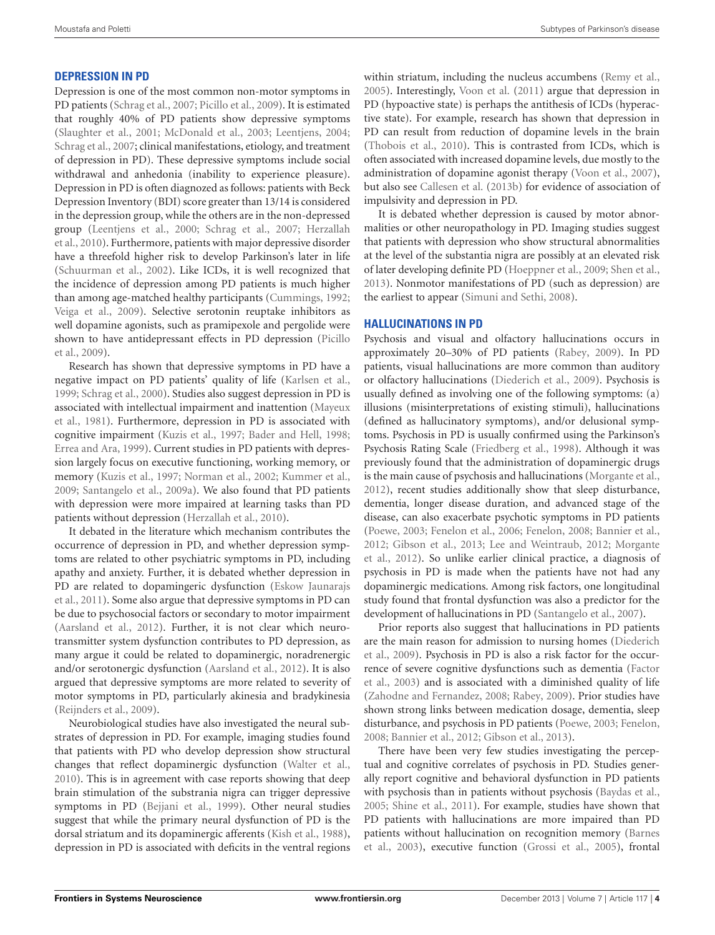# **DEPRESSION IN PD**

Depression is one of the most common non-motor symptoms in PD patients [\(Schrag et al.,](#page-9-22) [2007;](#page-9-22) [Picillo et al.,](#page-9-23) [2009\)](#page-9-23). It is estimated that roughly 40% of PD patients show depressive symptoms [\(Slaughter et al.,](#page-10-22) [2001;](#page-10-22) [McDonald et al.,](#page-8-18) [2003;](#page-8-18) [Leentjens,](#page-8-19) [2004;](#page-8-19) [Schrag et al.,](#page-9-22) [2007;](#page-9-22) clinical manifestations, etiology, and treatment of depression in PD). These depressive symptoms include social withdrawal and anhedonia (inability to experience pleasure). Depression in PD is often diagnozed as follows: patients with Beck Depression Inventory (BDI) score greater than 13/14 is considered in the depression group, while the others are in the non-depressed group [\(Leentjens et al.,](#page-8-20) [2000;](#page-8-20) [Schrag et al.,](#page-9-22) [2007;](#page-9-22) [Herzallah](#page-8-21) [et al.,](#page-8-21) [2010\)](#page-8-21). Furthermore, patients with major depressive disorder have a threefold higher risk to develop Parkinson's later in life [\(Schuurman et al.,](#page-9-24) [2002\)](#page-9-24). Like ICDs, it is well recognized that the incidence of depression among PD patients is much higher than among age-matched healthy participants [\(Cummings,](#page-7-18) [1992;](#page-7-18) [Veiga et al.,](#page-10-23) [2009\)](#page-10-23). Selective serotonin reuptake inhibitors as well dopamine agonists, such as pramipexole and pergolide were shown to have antidepressant effects in PD depression [\(Picillo](#page-9-23) [et al.,](#page-9-23) [2009\)](#page-9-23).

Research has shown that depressive symptoms in PD have a negative impact on PD patients' quality of life [\(Karlsen et al.,](#page-8-22) [1999;](#page-8-22) [Schrag et al.,](#page-9-25) [2000\)](#page-9-25). Studies also suggest depression in PD is associated with intellectual impairment and inattention [\(Mayeux](#page-8-23) [et al.,](#page-8-23) [1981\)](#page-8-23). Furthermore, depression in PD is associated with cognitive impairment [\(Kuzis et al.,](#page-8-24) [1997;](#page-8-24) [Bader and Hell,](#page-6-9) [1998;](#page-6-9) [Errea and Ara,](#page-7-19) [1999\)](#page-7-19). Current studies in PD patients with depression largely focus on executive functioning, working memory, or memory [\(Kuzis et al.,](#page-8-24) [1997;](#page-8-24) [Norman et al.,](#page-9-26) [2002;](#page-9-26) [Kummer et al.,](#page-8-25) [2009;](#page-8-25) [Santangelo et al.,](#page-9-27) [2009a\)](#page-9-27). We also found that PD patients with depression were more impaired at learning tasks than PD patients without depression [\(Herzallah et al.,](#page-8-21) [2010\)](#page-8-21).

It debated in the literature which mechanism contributes the occurrence of depression in PD, and whether depression symptoms are related to other psychiatric symptoms in PD, including apathy and anxiety. Further, it is debated whether depression in PD are related to dopamingeric dysfunction [\(Eskow Jaunarajs](#page-7-20) [et al.,](#page-7-20) [2011\)](#page-7-20). Some also argue that depressive symptoms in PD can be due to psychosocial factors or secondary to motor impairment [\(Aarsland et al.,](#page-6-10) [2012\)](#page-6-10). Further, it is not clear which neurotransmitter system dysfunction contributes to PD depression, as many argue it could be related to dopaminergic, noradrenergic and/or serotonergic dysfunction [\(Aarsland et al.,](#page-6-10) [2012\)](#page-6-10). It is also argued that depressive symptoms are more related to severity of motor symptoms in PD, particularly akinesia and bradykinesia [\(Reijnders et al.,](#page-9-13) [2009\)](#page-9-13).

Neurobiological studies have also investigated the neural substrates of depression in PD. For example, imaging studies found that patients with PD who develop depression show structural changes that reflect dopaminergic dysfunction [\(Walter et al.,](#page-10-24) [2010\)](#page-10-24). This is in agreement with case reports showing that deep brain stimulation of the substrania nigra can trigger depressive symptoms in PD [\(Bejjani et al.,](#page-6-11) [1999\)](#page-6-11). Other neural studies suggest that while the primary neural dysfunction of PD is the dorsal striatum and its dopaminergic afferents [\(Kish et al.,](#page-8-5) [1988\)](#page-8-5), depression in PD is associated with deficits in the ventral regions

within striatum, including the nucleus accumbens [\(Remy et al.,](#page-9-28) [2005\)](#page-9-28). Interestingly, [Voon et al.](#page-10-16) [\(2011\)](#page-10-16) argue that depression in PD (hypoactive state) is perhaps the antithesis of ICDs (hyperactive state). For example, research has shown that depression in PD can result from reduction of dopamine levels in the brain [\(Thobois et al.,](#page-10-25) [2010\)](#page-10-25). This is contrasted from ICDs, which is often associated with increased dopamine levels, due mostly to the administration of dopamine agonist therapy [\(Voon et al.,](#page-10-10) [2007\)](#page-10-10), but also see [Callesen et al.](#page-7-21) [\(2013b\)](#page-7-21) for evidence of association of impulsivity and depression in PD.

It is debated whether depression is caused by motor abnormalities or other neuropathology in PD. Imaging studies suggest that patients with depression who show structural abnormalities at the level of the substantia nigra are possibly at an elevated risk of later developing definite PD [\(Hoeppner et al.,](#page-8-26) [2009;](#page-8-26) [Shen et al.,](#page-10-26) [2013\)](#page-10-26). Nonmotor manifestations of PD (such as depression) are the earliest to appear [\(Simuni and Sethi,](#page-10-27) [2008\)](#page-10-27).

### **HALLUCINATIONS IN PD**

Psychosis and visual and olfactory hallucinations occurs in approximately 20–30% of PD patients [\(Rabey,](#page-9-29) [2009\)](#page-9-29). In PD patients, visual hallucinations are more common than auditory or olfactory hallucinations [\(Diederich et al.,](#page-7-22) [2009\)](#page-7-22). Psychosis is usually defined as involving one of the following symptoms: (a) illusions (misinterpretations of existing stimuli), hallucinations (defined as hallucinatory symptoms), and/or delusional symptoms. Psychosis in PD is usually confirmed using the Parkinson's Psychosis Rating Scale [\(Friedberg et al.,](#page-7-23) [1998\)](#page-7-23). Although it was previously found that the administration of dopaminergic drugs is the main cause of psychosis and hallucinations [\(Morgante et al.,](#page-8-27) [2012\)](#page-8-27), recent studies additionally show that sleep disturbance, dementia, longer disease duration, and advanced stage of the disease, can also exacerbate psychotic symptoms in PD patients [\(Poewe,](#page-9-30) [2003;](#page-9-30) [Fenelon et al.,](#page-7-24) [2006;](#page-7-24) [Fenelon,](#page-7-25) [2008;](#page-7-25) [Bannier et al.,](#page-6-12) [2012;](#page-6-12) [Gibson et al.,](#page-7-26) [2013;](#page-7-26) [Lee and Weintraub,](#page-8-28) [2012;](#page-8-28) [Morgante](#page-8-27) [et al.,](#page-8-27) [2012\)](#page-8-27). So unlike earlier clinical practice, a diagnosis of psychosis in PD is made when the patients have not had any dopaminergic medications. Among risk factors, one longitudinal study found that frontal dysfunction was also a predictor for the development of hallucinations in PD [\(Santangelo et al.,](#page-9-31) [2007\)](#page-9-31).

Prior reports also suggest that hallucinations in PD patients are the main reason for admission to nursing homes [\(Diederich](#page-7-22) [et al.,](#page-7-22) [2009\)](#page-7-22). Psychosis in PD is also a risk factor for the occurrence of severe cognitive dysfunctions such as dementia [\(Factor](#page-7-27) [et al.,](#page-7-27) [2003\)](#page-7-27) and is associated with a diminished quality of life [\(Zahodne and Fernandez,](#page-10-28) [2008;](#page-10-28) [Rabey,](#page-9-29) [2009\)](#page-9-29). Prior studies have shown strong links between medication dosage, dementia, sleep disturbance, and psychosis in PD patients [\(Poewe,](#page-9-30) [2003;](#page-9-30) [Fenelon,](#page-7-25) [2008;](#page-7-25) [Bannier et al.,](#page-6-12) [2012;](#page-6-12) [Gibson et al.,](#page-7-26) [2013\)](#page-7-26).

There have been very few studies investigating the perceptual and cognitive correlates of psychosis in PD. Studies generally report cognitive and behavioral dysfunction in PD patients with psychosis than in patients without psychosis [\(Baydas et al.,](#page-6-13) [2005;](#page-6-13) [Shine et al.,](#page-10-29) [2011\)](#page-10-29). For example, studies have shown that PD patients with hallucinations are more impaired than PD patients without hallucination on recognition memory [\(Barnes](#page-6-14) [et al.,](#page-6-14) [2003\)](#page-6-14), executive function [\(Grossi et al.,](#page-8-29) [2005\)](#page-8-29), frontal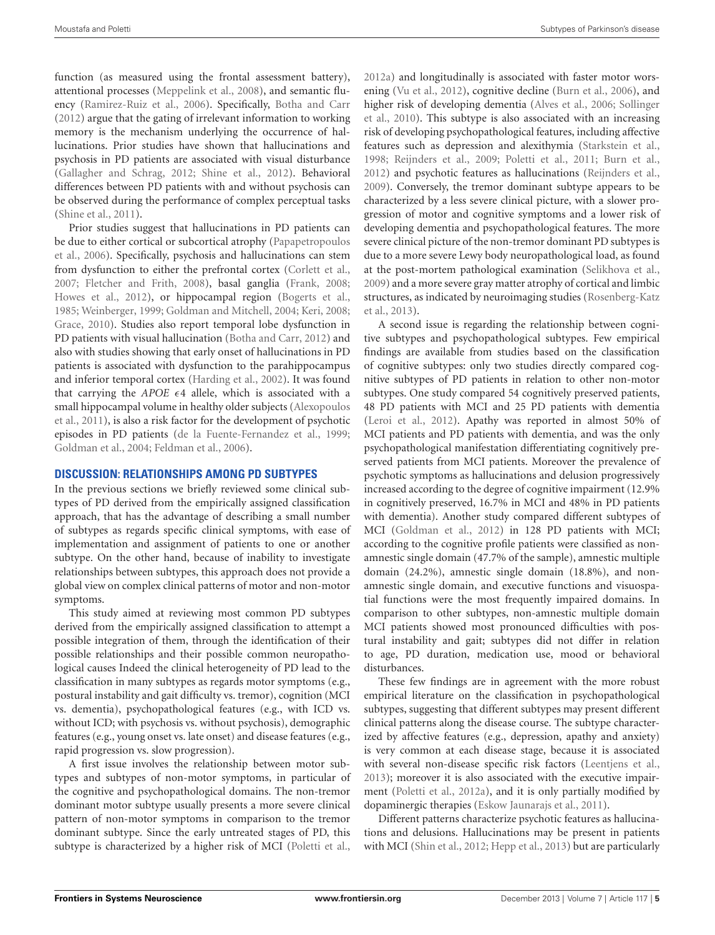function (as measured using the frontal assessment battery), attentional processes [\(Meppelink et al.,](#page-8-30) [2008\)](#page-8-30), and semantic fluency [\(Ramirez-Ruiz et al.,](#page-9-32) [2006\)](#page-9-32). Specifically, [Botha and Carr](#page-6-15) [\(2012\)](#page-6-15) argue that the gating of irrelevant information to working memory is the mechanism underlying the occurrence of hallucinations. Prior studies have shown that hallucinations and psychosis in PD patients are associated with visual disturbance [\(Gallagher and Schrag,](#page-7-28) [2012;](#page-7-28) [Shine et al.,](#page-10-30) [2012\)](#page-10-30). Behavioral differences between PD patients with and without psychosis can be observed during the performance of complex perceptual tasks [\(Shine et al.,](#page-10-29) [2011\)](#page-10-29).

Prior studies suggest that hallucinations in PD patients can be due to either cortical or subcortical atrophy [\(Papapetropoulos](#page-9-33) [et al.,](#page-9-33) [2006\)](#page-9-33). Specifically, psychosis and hallucinations can stem from dysfunction to either the prefrontal cortex [\(Corlett et al.,](#page-7-29) [2007;](#page-7-29) [Fletcher and Frith,](#page-7-30) [2008\)](#page-7-30), basal ganglia [\(Frank,](#page-7-31) [2008;](#page-7-31) [Howes et al.,](#page-8-31) [2012\)](#page-8-31), or hippocampal region [\(Bogerts et al.,](#page-6-16) [1985;](#page-6-16) [Weinberger,](#page-10-31) [1999;](#page-10-31) [Goldman and Mitchell,](#page-7-32) [2004;](#page-7-32) [Keri,](#page-8-32) [2008;](#page-8-32) [Grace,](#page-8-33) [2010\)](#page-8-33). Studies also report temporal lobe dysfunction in PD patients with visual hallucination [\(Botha and Carr,](#page-6-15) [2012\)](#page-6-15) and also with studies showing that early onset of hallucinations in PD patients is associated with dysfunction to the parahippocampus and inferior temporal cortex [\(Harding et al.,](#page-8-34) [2002\)](#page-8-34). It was found that carrying the  $APOE \epsilon 4$  allele, which is associated with a small hippocampal volume in healthy older subjects [\(Alexopoulos](#page-6-17) [et al.,](#page-6-17) [2011\)](#page-6-17), is also a risk factor for the development of psychotic episodes in PD patients [\(de la Fuente-Fernandez et al.,](#page-7-33) [1999;](#page-7-33) [Goldman et al.,](#page-7-34) [2004;](#page-7-34) [Feldman et al.,](#page-7-35) [2006\)](#page-7-35).

# **DISCUSSION: RELATIONSHIPS AMONG PD SUBTYPES**

In the previous sections we briefly reviewed some clinical subtypes of PD derived from the empirically assigned classification approach, that has the advantage of describing a small number of subtypes as regards specific clinical symptoms, with ease of implementation and assignment of patients to one or another subtype. On the other hand, because of inability to investigate relationships between subtypes, this approach does not provide a global view on complex clinical patterns of motor and non-motor symptoms.

This study aimed at reviewing most common PD subtypes derived from the empirically assigned classification to attempt a possible integration of them, through the identification of their possible relationships and their possible common neuropathological causes Indeed the clinical heterogeneity of PD lead to the classification in many subtypes as regards motor symptoms (e.g., postural instability and gait difficulty vs. tremor), cognition (MCI vs. dementia), psychopathological features (e.g., with ICD vs. without ICD; with psychosis vs. without psychosis), demographic features (e.g., young onset vs. late onset) and disease features (e.g., rapid progression vs. slow progression).

A first issue involves the relationship between motor subtypes and subtypes of non-motor symptoms, in particular of the cognitive and psychopathological domains. The non-tremor dominant motor subtype usually presents a more severe clinical pattern of non-motor symptoms in comparison to the tremor dominant subtype. Since the early untreated stages of PD, this subtype is characterized by a higher risk of MCI [\(Poletti et al.,](#page-9-2)

[2012a\)](#page-9-2) and longitudinally is associated with faster motor worsening [\(Vu et al.,](#page-10-32) [2012\)](#page-10-32), cognitive decline [\(Burn et al.,](#page-7-4) [2006\)](#page-7-4), and higher risk of developing dementia [\(Alves et al.,](#page-6-18) [2006;](#page-6-18) [Sollinger](#page-10-33) [et al.,](#page-10-33) [2010\)](#page-10-33). This subtype is also associated with an increasing risk of developing psychopathological features, including affective features such as depression and alexithymia [\(Starkstein et al.,](#page-10-8) [1998;](#page-10-8) [Reijnders et al.,](#page-9-13) [2009;](#page-9-13) [Poletti et al.,](#page-9-14) [2011;](#page-9-14) [Burn et al.,](#page-7-36) [2012\)](#page-7-36) and psychotic features as hallucinations [\(Reijnders et al.,](#page-9-13) [2009\)](#page-9-13). Conversely, the tremor dominant subtype appears to be characterized by a less severe clinical picture, with a slower progression of motor and cognitive symptoms and a lower risk of developing dementia and psychopathological features. The more severe clinical picture of the non-tremor dominant PD subtypes is due to a more severe Lewy body neuropathological load, as found at the post-mortem pathological examination [\(Selikhova et al.,](#page-10-34) [2009\)](#page-10-34) and a more severe gray matter atrophy of cortical and limbic structures, as indicated by neuroimaging studies [\(Rosenberg-Katz](#page-9-16) [et al.,](#page-9-16) [2013\)](#page-9-16).

A second issue is regarding the relationship between cognitive subtypes and psychopathological subtypes. Few empirical findings are available from studies based on the classification of cognitive subtypes: only two studies directly compared cognitive subtypes of PD patients in relation to other non-motor subtypes. One study compared 54 cognitively preserved patients, 48 PD patients with MCI and 25 PD patients with dementia [\(Leroi et al.,](#page-8-35) [2012\)](#page-8-35). Apathy was reported in almost 50% of MCI patients and PD patients with dementia, and was the only psychopathological manifestation differentiating cognitively preserved patients from MCI patients. Moreover the prevalence of psychotic symptoms as hallucinations and delusion progressively increased according to the degree of cognitive impairment (12.9% in cognitively preserved, 16.7% in MCI and 48% in PD patients with dementia). Another study compared different subtypes of MCI [\(Goldman et al.,](#page-8-36) [2012\)](#page-8-36) in 128 PD patients with MCI; according to the cognitive profile patients were classified as nonamnestic single domain (47.7% of the sample), amnestic multiple domain (24.2%), amnestic single domain (18.8%), and nonamnestic single domain, and executive functions and visuospatial functions were the most frequently impaired domains. In comparison to other subtypes, non-amnestic multiple domain MCI patients showed most pronounced difficulties with postural instability and gait; subtypes did not differ in relation to age, PD duration, medication use, mood or behavioral disturbances.

These few findings are in agreement with the more robust empirical literature on the classification in psychopathological subtypes, suggesting that different subtypes may present different clinical patterns along the disease course. The subtype characterized by affective features (e.g., depression, apathy and anxiety) is very common at each disease stage, because it is associated with several non-disease specific risk factors [\(Leentjens et al.,](#page-8-37) [2013\)](#page-8-37); moreover it is also associated with the executive impairment [\(Poletti et al.,](#page-9-2) [2012a\)](#page-9-2), and it is only partially modified by dopaminergic therapies [\(Eskow Jaunarajs et al.,](#page-7-20) [2011\)](#page-7-20).

Different patterns characterize psychotic features as hallucinations and delusions. Hallucinations may be present in patients with MCI [\(Shin et al.,](#page-10-35) [2012;](#page-10-35) [Hepp et al.,](#page-8-38) [2013\)](#page-8-38) but are particularly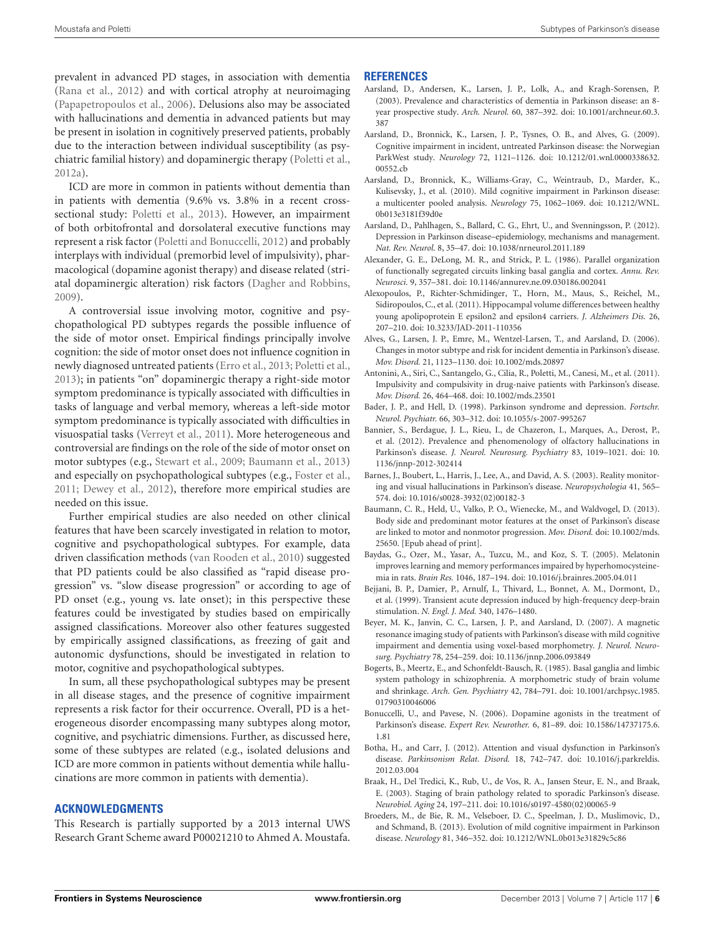prevalent in advanced PD stages, in association with dementia [\(Rana et al.,](#page-9-34) [2012\)](#page-9-34) and with cortical atrophy at neuroimaging [\(Papapetropoulos et al.,](#page-9-33) [2006\)](#page-9-33). Delusions also may be associated with hallucinations and dementia in advanced patients but may be present in isolation in cognitively preserved patients, probably due to the interaction between individual susceptibility (as psychiatric familial history) and dopaminergic therapy [\(Poletti et al.,](#page-9-2) [2012a\)](#page-9-2).

ICD are more in common in patients without dementia than in patients with dementia (9.6% vs. 3.8% in a recent crosssectional study: [Poletti et al.,](#page-9-35) [2013\)](#page-9-35). However, an impairment of both orbitofrontal and dorsolateral executive functions may represent a risk factor [\(Poletti and Bonuccelli,](#page-9-36) [2012\)](#page-9-36) and probably interplays with individual (premorbid level of impulsivity), pharmacological (dopamine agonist therapy) and disease related (striatal dopaminergic alteration) risk factors [\(Dagher and Robbins,](#page-7-9) [2009\)](#page-7-9).

A controversial issue involving motor, cognitive and psychopathological PD subtypes regards the possible influence of the side of motor onset. Empirical findings principally involve cognition: the side of motor onset does not influence cognition in newly diagnosed untreated patients [\(Erro et al.,](#page-7-37) [2013;](#page-7-37) [Poletti et al.,](#page-9-37) [2013\)](#page-9-37); in patients "on" dopaminergic therapy a right-side motor symptom predominance is typically associated with difficulties in tasks of language and verbal memory, whereas a left-side motor symptom predominance is typically associated with difficulties in visuospatial tasks [\(Verreyt et al.,](#page-10-36) [2011\)](#page-10-36). More heterogeneous and controversial are findings on the role of the side of motor onset on motor subtypes (e.g., [Stewart et al.,](#page-10-37) [2009;](#page-10-37) [Baumann et al.,](#page-6-19) [2013\)](#page-6-19) and especially on psychopathological subtypes (e.g., [Foster et al.,](#page-7-38) [2011;](#page-7-38) [Dewey et al.,](#page-7-39) [2012\)](#page-7-39), therefore more empirical studies are needed on this issue.

Further empirical studies are also needed on other clinical features that have been scarcely investigated in relation to motor, cognitive and psychopathological subtypes. For example, data driven classification methods [\(van Rooden et al.,](#page-10-0) [2010\)](#page-10-0) suggested that PD patients could be also classified as "rapid disease progression" vs. "slow disease progression" or according to age of PD onset (e.g., young vs. late onset); in this perspective these features could be investigated by studies based on empirically assigned classifications. Moreover also other features suggested by empirically assigned classifications, as freezing of gait and autonomic dysfunctions, should be investigated in relation to motor, cognitive and psychopathological subtypes.

In sum, all these psychopathological subtypes may be present in all disease stages, and the presence of cognitive impairment represents a risk factor for their occurrence. Overall, PD is a heterogeneous disorder encompassing many subtypes along motor, cognitive, and psychiatric dimensions. Further, as discussed here, some of these subtypes are related (e.g., isolated delusions and ICD are more common in patients without dementia while hallucinations are more common in patients with dementia).

### **ACKNOWLEDGMENTS**

This Research is partially supported by a 2013 internal UWS Research Grant Scheme award P00021210 to Ahmed A. Moustafa.

### **REFERENCES**

- <span id="page-6-6"></span>Aarsland, D., Andersen, K., Larsen, J. P., Lolk, A., and Kragh-Sorensen, P. (2003). Prevalence and characteristics of dementia in Parkinson disease: an 8 year prospective study. *Arch. Neurol.* 60, 387–392. doi: 10.1001/archneur.60.3. 387
- <span id="page-6-2"></span>Aarsland, D., Bronnick, K., Larsen, J. P., Tysnes, O. B., and Alves, G. (2009). Cognitive impairment in incident, untreated Parkinson disease: the Norwegian ParkWest study. *Neurology* 72, 1121–1126. doi: 10.1212/01.wnl.0000338632. 00552.cb
- <span id="page-6-3"></span>Aarsland, D., Bronnick, K., Williams-Gray, C., Weintraub, D., Marder, K., Kulisevsky, J., et al. (2010). Mild cognitive impairment in Parkinson disease: a multicenter pooled analysis. *Neurology* 75, 1062–1069. doi: 10.1212/WNL. 0b013e3181f39d0e
- <span id="page-6-10"></span>Aarsland, D., Pahlhagen, S., Ballard, C. G., Ehrt, U., and Svenningsson, P. (2012). Depression in Parkinson disease–epidemiology, mechanisms and management. *Nat. Rev. Neurol.* 8, 35–47. doi: 10.1038/nrneurol.2011.189
- <span id="page-6-5"></span>Alexander, G. E., DeLong, M. R., and Strick, P. L. (1986). Parallel organization of functionally segregated circuits linking basal ganglia and cortex. *Annu. Rev. Neurosci.* 9, 357–381. doi: 10.1146/annurev.ne.09.030186.002041
- <span id="page-6-17"></span>Alexopoulos, P., Richter-Schmidinger, T., Horn, M., Maus, S., Reichel, M., Sidiropoulos, C., et al. (2011). Hippocampal volume differences between healthy young apolipoprotein E epsilon2 and epsilon4 carriers. *J. Alzheimers Dis.* 26, 207–210. doi: 10.3233/JAD-2011-110356
- <span id="page-6-18"></span>Alves, G., Larsen, J. P., Emre, M., Wentzel-Larsen, T., and Aarsland, D. (2006). Changes in motor subtype and risk for incident dementia in Parkinson's disease. *Mov. Disord.* 21, 1123–1130. doi: 10.1002/mds.20897
- <span id="page-6-8"></span>Antonini, A., Siri, C., Santangelo, G., Cilia, R., Poletti, M., Canesi, M., et al. (2011). Impulsivity and compulsivity in drug-naive patients with Parkinson's disease. *Mov. Disord.* 26, 464–468. doi: 10.1002/mds.23501
- <span id="page-6-9"></span>Bader, J. P., and Hell, D. (1998). Parkinson syndrome and depression. *Fortschr. Neurol. Psychiatr.* 66, 303–312. doi: 10.1055/s-2007-995267
- <span id="page-6-12"></span>Bannier, S., Berdague, J. L., Rieu, I., de Chazeron, I., Marques, A., Derost, P., et al. (2012). Prevalence and phenomenology of olfactory hallucinations in Parkinson's disease. *J. Neurol. Neurosurg. Psychiatry* 83, 1019–1021. doi: 10. 1136/jnnp-2012-302414
- <span id="page-6-14"></span>Barnes, J., Boubert, L., Harris, J., Lee, A., and David, A. S. (2003). Reality monitoring and visual hallucinations in Parkinson's disease. *Neuropsychologia* 41, 565– 574. doi: 10.1016/s0028-3932(02)00182-3
- <span id="page-6-19"></span>Baumann, C. R., Held, U., Valko, P. O., Wienecke, M., and Waldvogel, D. (2013). Body side and predominant motor features at the onset of Parkinson's disease are linked to motor and nonmotor progression. *Mov. Disord.* doi: 10.1002/mds. 25650. [Epub ahead of print].
- <span id="page-6-13"></span>Baydas, G., Ozer, M., Yasar, A., Tuzcu, M., and Koz, S. T. (2005). Melatonin improves learning and memory performances impaired by hyperhomocysteinemia in rats. *Brain Res.* 1046, 187–194. doi: 10.1016/j.brainres.2005.04.011
- <span id="page-6-11"></span>Bejjani, B. P., Damier, P., Arnulf, I., Thivard, L., Bonnet, A. M., Dormont, D., et al. (1999). Transient acute depression induced by high-frequency deep-brain stimulation. *N. Engl. J. Med.* 340, 1476–1480.
- <span id="page-6-7"></span>Beyer, M. K., Janvin, C. C., Larsen, J. P., and Aarsland, D. (2007). A magnetic resonance imaging study of patients with Parkinson's disease with mild cognitive impairment and dementia using voxel-based morphometry. *J. Neurol. Neurosurg. Psychiatry* 78, 254–259. doi: 10.1136/jnnp.2006.093849
- <span id="page-6-16"></span>Bogerts, B., Meertz, E., and Schonfeldt-Bausch, R. (1985). Basal ganglia and limbic system pathology in schizophrenia. A morphometric study of brain volume and shrinkage. *Arch. Gen. Psychiatry* 42, 784–791. doi: 10.1001/archpsyc.1985. 01790310046006
- <span id="page-6-1"></span>Bonuccelli, U., and Pavese, N. (2006). Dopamine agonists in the treatment of Parkinson's disease. *Expert Rev. Neurother.* 6, 81–89. doi: 10.1586/14737175.6. 1.81
- <span id="page-6-15"></span>Botha, H., and Carr, J. (2012). Attention and visual dysfunction in Parkinson's disease. *Parkinsonism Relat. Disord.* 18, 742–747. doi: 10.1016/j.parkreldis. 2012.03.004
- <span id="page-6-0"></span>Braak, H., Del Tredici, K., Rub, U., de Vos, R. A., Jansen Steur, E. N., and Braak, E. (2003). Staging of brain pathology related to sporadic Parkinson's disease. *Neurobiol. Aging* 24, 197–211. doi: 10.1016/s0197-4580(02)00065-9
- <span id="page-6-4"></span>Broeders, M., de Bie, R. M., Velseboer, D. C., Speelman, J. D., Muslimovic, D., and Schmand, B. (2013). Evolution of mild cognitive impairment in Parkinson disease. *Neurology* 81, 346–352. doi: 10.1212/WNL.0b013e31829c5c86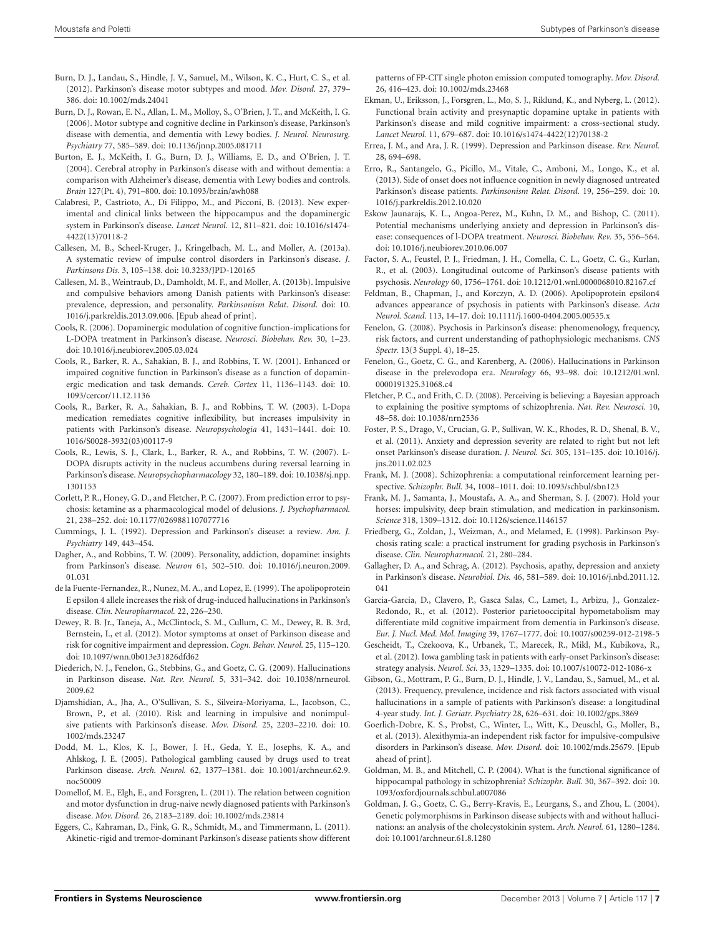- <span id="page-7-36"></span>Burn, D. J., Landau, S., Hindle, J. V., Samuel, M., Wilson, K. C., Hurt, C. S., et al. (2012). Parkinson's disease motor subtypes and mood. *Mov. Disord.* 27, 379– 386. doi: 10.1002/mds.24041
- <span id="page-7-4"></span>Burn, D. J., Rowan, E. N., Allan, L. M., Molloy, S., O'Brien, J. T., and McKeith, I. G. (2006). Motor subtype and cognitive decline in Parkinson's disease, Parkinson's disease with dementia, and dementia with Lewy bodies. *J. Neurol. Neurosurg. Psychiatry* 77, 585–589. doi: 10.1136/jnnp.2005.081711
- <span id="page-7-3"></span>Burton, E. J., McKeith, I. G., Burn, D. J., Williams, E. D., and O'Brien, J. T. (2004). Cerebral atrophy in Parkinson's disease with and without dementia: a comparison with Alzheimer's disease, dementia with Lewy bodies and controls. *Brain* 127(Pt. 4), 791–800. doi: 10.1093/brain/awh088
- <span id="page-7-17"></span>Calabresi, P., Castrioto, A., Di Filippo, M., and Picconi, B. (2013). New experimental and clinical links between the hippocampus and the dopaminergic system in Parkinson's disease. *Lancet Neurol.* 12, 811–821. doi: 10.1016/s1474- 4422(13)70118-2
- <span id="page-7-11"></span>Callesen, M. B., Scheel-Kruger, J., Kringelbach, M. L., and Moller, A. (2013a). A systematic review of impulse control disorders in Parkinson's disease. *J. Parkinsons Dis.* 3, 105–138. doi: 10.3233/JPD-120165
- <span id="page-7-21"></span>Callesen, M. B., Weintraub, D., Damholdt, M. F., and Moller, A. (2013b). Impulsive and compulsive behaviors among Danish patients with Parkinson's disease: prevalence, depression, and personality. *Parkinsonism Relat. Disord.* doi: 10. 1016/j.parkreldis.2013.09.006. [Epub ahead of print].
- <span id="page-7-0"></span>Cools, R. (2006). Dopaminergic modulation of cognitive function-implications for L-DOPA treatment in Parkinson's disease. *Neurosci. Biobehav. Rev.* 30, 1–23. doi: 10.1016/j.neubiorev.2005.03.024
- <span id="page-7-15"></span>Cools, R., Barker, R. A., Sahakian, B. J., and Robbins, T. W. (2001). Enhanced or impaired cognitive function in Parkinson's disease as a function of dopaminergic medication and task demands. *Cereb. Cortex* 11, 1136–1143. doi: 10. 1093/cercor/11.12.1136
- <span id="page-7-16"></span>Cools, R., Barker, R. A., Sahakian, B. J., and Robbins, T. W. (2003). L-Dopa medication remediates cognitive inflexibility, but increases impulsivity in patients with Parkinson's disease. *Neuropsychologia* 41, 1431–1441. doi: 10. 1016/S0028-3932(03)00117-9
- <span id="page-7-14"></span>Cools, R., Lewis, S. J., Clark, L., Barker, R. A., and Robbins, T. W. (2007). L-DOPA disrupts activity in the nucleus accumbens during reversal learning in Parkinson's disease. *Neuropsychopharmacology* 32, 180–189. doi: 10.1038/sj.npp. 1301153
- <span id="page-7-29"></span>Corlett, P. R., Honey, G. D., and Fletcher, P. C. (2007). From prediction error to psychosis: ketamine as a pharmacological model of delusions. *J. Psychopharmacol.* 21, 238–252. doi: 10.1177/0269881107077716
- <span id="page-7-18"></span>Cummings, J. L. (1992). Depression and Parkinson's disease: a review. *Am. J. Psychiatry* 149, 443–454.
- <span id="page-7-9"></span>Dagher, A., and Robbins, T. W. (2009). Personality, addiction, dopamine: insights from Parkinson's disease. *Neuron* 61, 502–510. doi: 10.1016/j.neuron.2009. 01.031
- <span id="page-7-33"></span>de la Fuente-Fernandez, R., Nunez, M. A., and Lopez, E. (1999). The apolipoprotein E epsilon 4 allele increases the risk of drug-induced hallucinations in Parkinson's disease. *Clin. Neuropharmacol.* 22, 226–230.
- <span id="page-7-39"></span>Dewey, R. B. Jr., Taneja, A., McClintock, S. M., Cullum, C. M., Dewey, R. B. 3rd, Bernstein, I., et al. (2012). Motor symptoms at onset of Parkinson disease and risk for cognitive impairment and depression. *Cogn. Behav. Neurol.* 25, 115–120. doi: 10.1097/wnn.0b013e31826dfd62
- <span id="page-7-22"></span>Diederich, N. J., Fenelon, G., Stebbins, G., and Goetz, C. G. (2009). Hallucinations in Parkinson disease. *Nat. Rev. Neurol.* 5, 331–342. doi: 10.1038/nrneurol. 2009.62
- <span id="page-7-13"></span>Djamshidian, A., Jha, A., O'Sullivan, S. S., Silveira-Moriyama, L., Jacobson, C., Brown, P., et al. (2010). Risk and learning in impulsive and nonimpulsive patients with Parkinson's disease. *Mov. Disord.* 25, 2203–2210. doi: 10. 1002/mds.23247
- <span id="page-7-7"></span>Dodd, M. L., Klos, K. J., Bower, J. H., Geda, Y. E., Josephs, K. A., and Ahlskog, J. E. (2005). Pathological gambling caused by drugs used to treat Parkinson disease. *Arch. Neurol.* 62, 1377–1381. doi: 10.1001/archneur.62.9. noc50009
- <span id="page-7-5"></span>Domellof, M. E., Elgh, E., and Forsgren, L. (2011). The relation between cognition and motor dysfunction in drug-naive newly diagnosed patients with Parkinson's disease. *Mov. Disord.* 26, 2183–2189. doi: 10.1002/mds.23814
- <span id="page-7-6"></span>Eggers, C., Kahraman, D., Fink, G. R., Schmidt, M., and Timmermann, L. (2011). Akinetic-rigid and tremor-dominant Parkinson's disease patients show different

patterns of FP-CIT single photon emission computed tomography. *Mov. Disord.* 26, 416–423. doi: 10.1002/mds.23468

- <span id="page-7-1"></span>Ekman, U., Eriksson, J., Forsgren, L., Mo, S. J., Riklund, K., and Nyberg, L. (2012). Functional brain activity and presynaptic dopamine uptake in patients with Parkinson's disease and mild cognitive impairment: a cross-sectional study. *Lancet Neurol.* 11, 679–687. doi: 10.1016/s1474-4422(12)70138-2
- <span id="page-7-19"></span>Errea, J. M., and Ara, J. R. (1999). Depression and Parkinson disease. *Rev. Neurol.* 28, 694–698.
- <span id="page-7-37"></span>Erro, R., Santangelo, G., Picillo, M., Vitale, C., Amboni, M., Longo, K., et al. (2013). Side of onset does not influence cognition in newly diagnosed untreated Parkinson's disease patients. *Parkinsonism Relat. Disord.* 19, 256–259. doi: 10. 1016/j.parkreldis.2012.10.020
- <span id="page-7-20"></span>Eskow Jaunarajs, K. L., Angoa-Perez, M., Kuhn, D. M., and Bishop, C. (2011). Potential mechanisms underlying anxiety and depression in Parkinson's disease: consequences of l-DOPA treatment. *Neurosci. Biobehav. Rev.* 35, 556–564. doi: 10.1016/j.neubiorev.2010.06.007
- <span id="page-7-27"></span>Factor, S. A., Feustel, P. J., Friedman, J. H., Comella, C. L., Goetz, C. G., Kurlan, R., et al. (2003). Longitudinal outcome of Parkinson's disease patients with psychosis. *Neurology* 60, 1756–1761. doi: 10.1212/01.wnl.0000068010.82167.cf
- <span id="page-7-35"></span>Feldman, B., Chapman, J., and Korczyn, A. D. (2006). Apolipoprotein epsilon4 advances appearance of psychosis in patients with Parkinson's disease. *Acta Neurol. Scand.* 113, 14–17. doi: 10.1111/j.1600-0404.2005.00535.x
- <span id="page-7-25"></span>Fenelon, G. (2008). Psychosis in Parkinson's disease: phenomenology, frequency, risk factors, and current understanding of pathophysiologic mechanisms. *CNS Spectr.* 13(3 Suppl. 4), 18–25.
- <span id="page-7-24"></span>Fenelon, G., Goetz, C. G., and Karenberg, A. (2006). Hallucinations in Parkinson disease in the prelevodopa era. *Neurology* 66, 93–98. doi: 10.1212/01.wnl. 0000191325.31068.c4
- <span id="page-7-30"></span>Fletcher, P. C., and Frith, C. D. (2008). Perceiving is believing: a Bayesian approach to explaining the positive symptoms of schizophrenia. *Nat. Rev. Neurosci.* 10, 48–58. doi: 10.1038/nrn2536
- <span id="page-7-38"></span>Foster, P. S., Drago, V., Crucian, G. P., Sullivan, W. K., Rhodes, R. D., Shenal, B. V., et al. (2011). Anxiety and depression severity are related to right but not left onset Parkinson's disease duration. *J. Neurol. Sci.* 305, 131–135. doi: 10.1016/j. jns.2011.02.023
- <span id="page-7-31"></span>Frank, M. J. (2008). Schizophrenia: a computational reinforcement learning perspective. *Schizophr. Bull.* 34, 1008–1011. doi: 10.1093/schbul/sbn123
- <span id="page-7-10"></span>Frank, M. J., Samanta, J., Moustafa, A. A., and Sherman, S. J. (2007). Hold your horses: impulsivity, deep brain stimulation, and medication in parkinsonism. *Science* 318, 1309–1312. doi: 10.1126/science.1146157
- <span id="page-7-23"></span>Friedberg, G., Zoldan, J., Weizman, A., and Melamed, E. (1998). Parkinson Psychosis rating scale: a practical instrument for grading psychosis in Parkinson's disease. *Clin. Neuropharmacol.* 21, 280–284.
- <span id="page-7-28"></span>Gallagher, D. A., and Schrag, A. (2012). Psychosis, apathy, depression and anxiety in Parkinson's disease. *Neurobiol. Dis.* 46, 581–589. doi: 10.1016/j.nbd.2011.12. 041
- <span id="page-7-2"></span>Garcia-Garcia, D., Clavero, P., Gasca Salas, C., Lamet, I., Arbizu, J., Gonzalez-Redondo, R., et al. (2012). Posterior parietooccipital hypometabolism may differentiate mild cognitive impairment from dementia in Parkinson's disease. *Eur. J. Nucl. Med. Mol. Imaging* 39, 1767–1777. doi: 10.1007/s00259-012-2198-5
- <span id="page-7-12"></span>Gescheidt, T., Czekoova, K., Urbanek, T., Marecek, R., Mikl, M., Kubikova, R., et al. (2012). Iowa gambling task in patients with early-onset Parkinson's disease: strategy analysis. *Neurol. Sci.* 33, 1329–1335. doi: 10.1007/s10072-012-1086-x
- <span id="page-7-26"></span>Gibson, G., Mottram, P. G., Burn, D. J., Hindle, J. V., Landau, S., Samuel, M., et al. (2013). Frequency, prevalence, incidence and risk factors associated with visual hallucinations in a sample of patients with Parkinson's disease: a longitudinal 4-year study. *Int. J. Geriatr. Psychiatry* 28, 626–631. doi: 10.1002/gps.3869
- <span id="page-7-8"></span>Goerlich-Dobre, K. S., Probst, C., Winter, L., Witt, K., Deuschl, G., Moller, B., et al. (2013). Alexithymia-an independent risk factor for impulsive-compulsive disorders in Parkinson's disease. *Mov. Disord.* doi: 10.1002/mds.25679. [Epub ahead of print].
- <span id="page-7-32"></span>Goldman, M. B., and Mitchell, C. P. (2004). What is the functional significance of hippocampal pathology in schizophrenia? *Schizophr. Bull.* 30, 367–392. doi: 10. 1093/oxfordjournals.schbul.a007086
- <span id="page-7-34"></span>Goldman, J. G., Goetz, C. G., Berry-Kravis, E., Leurgans, S., and Zhou, L. (2004). Genetic polymorphisms in Parkinson disease subjects with and without hallucinations: an analysis of the cholecystokinin system. *Arch. Neurol.* 61, 1280–1284. doi: 10.1001/archneur.61.8.1280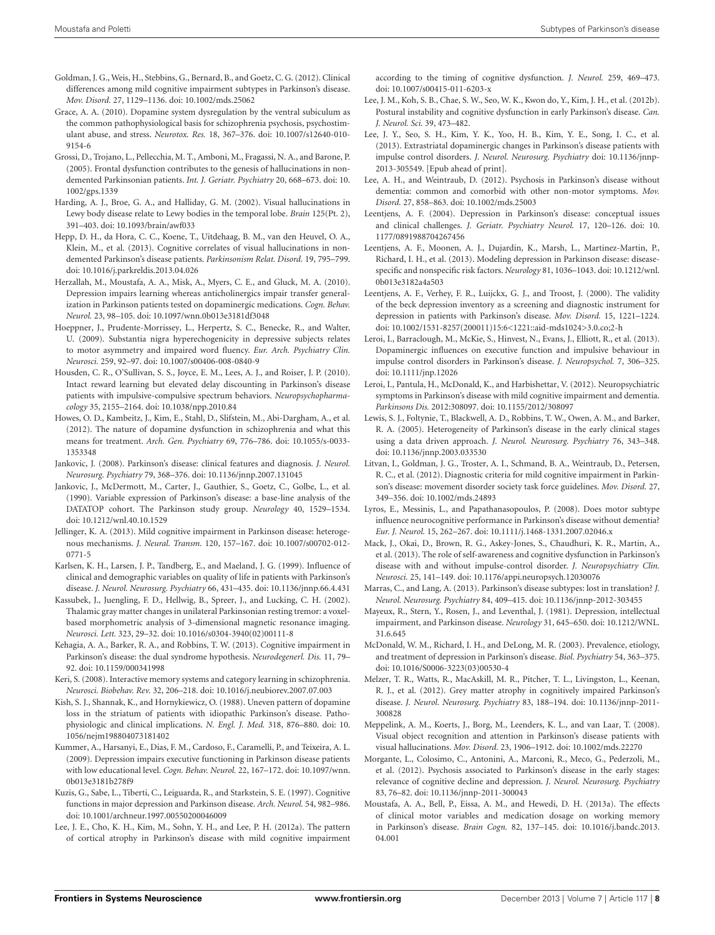- <span id="page-8-36"></span>Goldman, J. G., Weis, H., Stebbins, G., Bernard, B., and Goetz, C. G. (2012). Clinical differences among mild cognitive impairment subtypes in Parkinson's disease. *Mov. Disord.* 27, 1129–1136. doi: 10.1002/mds.25062
- <span id="page-8-33"></span>Grace, A. A. (2010). Dopamine system dysregulation by the ventral subiculum as the common pathophysiological basis for schizophrenia psychosis, psychostimulant abuse, and stress. *Neurotox. Res.* 18, 367–376. doi: 10.1007/s12640-010- 9154-6
- <span id="page-8-29"></span>Grossi, D., Trojano, L., Pellecchia, M. T., Amboni, M., Fragassi, N. A., and Barone, P. (2005). Frontal dysfunction contributes to the genesis of hallucinations in nondemented Parkinsonian patients. *Int. J. Geriatr. Psychiatry* 20, 668–673. doi: 10. 1002/gps.1339
- <span id="page-8-34"></span>Harding, A. J., Broe, G. A., and Halliday, G. M. (2002). Visual hallucinations in Lewy body disease relate to Lewy bodies in the temporal lobe. *Brain* 125(Pt. 2), 391–403. doi: 10.1093/brain/awf033
- <span id="page-8-38"></span>Hepp, D. H., da Hora, C. C., Koene, T., Uitdehaag, B. M., van den Heuvel, O. A., Klein, M., et al. (2013). Cognitive correlates of visual hallucinations in nondemented Parkinson's disease patients. *Parkinsonism Relat. Disord.* 19, 795–799. doi: 10.1016/j.parkreldis.2013.04.026
- <span id="page-8-21"></span>Herzallah, M., Moustafa, A. A., Misk, A., Myers, C. E., and Gluck, M. A. (2010). Depression impairs learning whereas anticholinergics impair transfer generalization in Parkinson patients tested on dopaminergic medications. *Cogn. Behav. Neurol.* 23, 98–105. doi: 10.1097/wnn.0b013e3181df3048
- <span id="page-8-26"></span>Hoeppner, J., Prudente-Morrissey, L., Herpertz, S. C., Benecke, R., and Walter, U. (2009). Substantia nigra hyperechogenicity in depressive subjects relates to motor asymmetry and impaired word fluency. *Eur. Arch. Psychiatry Clin. Neurosci.* 259, 92–97. doi: 10.1007/s00406-008-0840-9
- <span id="page-8-15"></span>Housden, C. R., O'Sullivan, S. S., Joyce, E. M., Lees, A. J., and Roiser, J. P. (2010). Intact reward learning but elevated delay discounting in Parkinson's disease patients with impulsive-compulsive spectrum behaviors. *Neuropsychopharmacology* 35, 2155–2164. doi: 10.1038/npp.2010.84
- <span id="page-8-31"></span>Howes, O. D., Kambeitz, J., Kim, E., Stahl, D., Slifstein, M., Abi-Dargham, A., et al. (2012). The nature of dopamine dysfunction in schizophrenia and what this means for treatment. *Arch. Gen. Psychiatry* 69, 776–786. doi: 10.1055/s-0033- 1353348
- <span id="page-8-0"></span>Jankovic, J. (2008). Parkinson's disease: clinical features and diagnosis. *J. Neurol. Neurosurg. Psychiatry* 79, 368–376. doi: 10.1136/jnnp.2007.131045
- <span id="page-8-2"></span>Jankovic, J., McDermott, M., Carter, J., Gauthier, S., Goetz, C., Golbe, L., et al. (1990). Variable expression of Parkinson's disease: a base-line analysis of the DATATOP cohort. The Parkinson study group. *Neurology* 40, 1529–1534. doi: 10.1212/wnl.40.10.1529
- <span id="page-8-8"></span>Jellinger, K. A. (2013). Mild cognitive impairment in Parkinson disease: heterogenous mechanisms. *J. Neural. Transm.* 120, 157–167. doi: 10.1007/s00702-012- 0771-5
- <span id="page-8-22"></span>Karlsen, K. H., Larsen, J. P., Tandberg, E., and Maeland, J. G. (1999). Influence of clinical and demographic variables on quality of life in patients with Parkinson's disease. *J. Neurol. Neurosurg. Psychiatry* 66, 431–435. doi: 10.1136/jnnp.66.4.431
- <span id="page-8-13"></span>Kassubek, J., Juengling, F. D., Hellwig, B., Spreer, J., and Lucking, C. H. (2002). Thalamic gray matter changes in unilateral Parkinsonian resting tremor: a voxelbased morphometric analysis of 3-dimensional magnetic resonance imaging. *Neurosci. Lett.* 323, 29–32. doi: 10.1016/s0304-3940(02)00111-8
- <span id="page-8-9"></span>Kehagia, A. A., Barker, R. A., and Robbins, T. W. (2013). Cognitive impairment in Parkinson's disease: the dual syndrome hypothesis. *Neurodegenerl. Dis.* 11, 79– 92. doi: 10.1159/000341998
- <span id="page-8-32"></span>Keri, S. (2008). Interactive memory systems and category learning in schizophrenia. *Neurosci. Biobehav. Rev.* 32, 206–218. doi: 10.1016/j.neubiorev.2007.07.003
- <span id="page-8-5"></span>Kish, S. J., Shannak, K., and Hornykiewicz, O. (1988). Uneven pattern of dopamine loss in the striatum of patients with idiopathic Parkinson's disease. Pathophysiologic and clinical implications. *N. Engl. J. Med.* 318, 876–880. doi: 10. 1056/nejm198804073181402
- <span id="page-8-25"></span>Kummer, A., Harsanyi, E., Dias, F. M., Cardoso, F., Caramelli, P., and Teixeira, A. L. (2009). Depression impairs executive functioning in Parkinson disease patients with low educational level. *Cogn. Behav. Neurol.* 22, 167–172. doi: 10.1097/wnn. 0b013e3181b278f9
- <span id="page-8-24"></span>Kuzis, G., Sabe, L., Tiberti, C., Leiguarda, R., and Starkstein, S. E. (1997). Cognitive functions in major depression and Parkinson disease. *Arch. Neurol.* 54, 982–986. doi: 10.1001/archneur.1997.00550200046009
- <span id="page-8-6"></span>Lee, J. E., Cho, K. H., Kim, M., Sohn, Y. H., and Lee, P. H. (2012a). The pattern of cortical atrophy in Parkinson's disease with mild cognitive impairment

according to the timing of cognitive dysfunction. *J. Neurol.* 259, 469–473. doi: 10.1007/s00415-011-6203-x

- <span id="page-8-10"></span>Lee, J. M., Koh, S. B., Chae, S. W., Seo, W. K., Kwon do, Y., Kim, J. H., et al. (2012b). Postural instability and cognitive dysfunction in early Parkinson's disease. *Can. J. Neurol. Sci.* 39, 473–482.
- <span id="page-8-17"></span>Lee, J. Y., Seo, S. H., Kim, Y. K., Yoo, H. B., Kim, Y. E., Song, I. C., et al. (2013). Extrastriatal dopaminergic changes in Parkinson's disease patients with impulse control disorders. *J. Neurol. Neurosurg. Psychiatry* doi: 10.1136/jnnp-2013-305549. [Epub ahead of print].
- <span id="page-8-28"></span>Lee, A. H., and Weintraub, D. (2012). Psychosis in Parkinson's disease without dementia: common and comorbid with other non-motor symptoms. *Mov. Disord.* 27, 858–863. doi: 10.1002/mds.25003
- <span id="page-8-19"></span>Leentjens, A. F. (2004). Depression in Parkinson's disease: conceptual issues and clinical challenges. *J. Geriatr. Psychiatry Neurol.* 17, 120–126. doi: 10. 1177/0891988704267456
- <span id="page-8-37"></span>Leentjens, A. F., Moonen, A. J., Dujardin, K., Marsh, L., Martinez-Martin, P., Richard, I. H., et al. (2013). Modeling depression in Parkinson disease: diseasespecific and nonspecific risk factors. *Neurology* 81, 1036–1043. doi: 10.1212/wnl. 0b013e3182a4a503
- <span id="page-8-20"></span>Leentjens, A. F., Verhey, F. R., Luijckx, G. J., and Troost, J. (2000). The validity of the beck depression inventory as a screening and diagnostic instrument for depression in patients with Parkinson's disease. *Mov. Disord.* 15, 1221–1224. doi: 10.1002/1531-8257(200011)15:6<1221::aid-mds1024>3.0.co;2-h
- <span id="page-8-16"></span>Leroi, I., Barraclough, M., McKie, S., Hinvest, N., Evans, J., Elliott, R., et al. (2013). Dopaminergic influences on executive function and impulsive behaviour in impulse control disorders in Parkinson's disease. *J. Neuropsychol.* 7, 306–325. doi: 10.1111/jnp.12026
- <span id="page-8-35"></span>Leroi, I., Pantula, H., McDonald, K., and Harbishettar, V. (2012). Neuropsychiatric symptoms in Parkinson's disease with mild cognitive impairment and dementia. *Parkinsons Dis.* 2012:308097. doi: 10.1155/2012/308097
- <span id="page-8-3"></span>Lewis, S. J., Foltynie, T., Blackwell, A. D., Robbins, T. W., Owen, A. M., and Barker, R. A. (2005). Heterogeneity of Parkinson's disease in the early clinical stages using a data driven approach. *J. Neurol. Neurosurg. Psychiatry* 76, 343–348. doi: 10.1136/jnnp.2003.033530
- <span id="page-8-4"></span>Litvan, I., Goldman, J. G., Troster, A. I., Schmand, B. A., Weintraub, D., Petersen, R. C., et al. (2012). Diagnostic criteria for mild cognitive impairment in Parkinson's disease: movement disorder society task force guidelines. *Mov. Disord.* 27, 349–356. doi: 10.1002/mds.24893
- <span id="page-8-11"></span>Lyros, E., Messinis, L., and Papathanasopoulos, P. (2008). Does motor subtype influence neurocognitive performance in Parkinson's disease without dementia? *Eur. J. Neurol.* 15, 262–267. doi: 10.1111/j.1468-1331.2007.02046.x
- <span id="page-8-14"></span>Mack, J., Okai, D., Brown, R. G., Askey-Jones, S., Chaudhuri, K. R., Martin, A., et al. (2013). The role of self-awareness and cognitive dysfunction in Parkinson's disease with and without impulse-control disorder. *J. Neuropsychiatry Clin. Neurosci.* 25, 141–149. doi: 10.1176/appi.neuropsych.12030076
- <span id="page-8-1"></span>Marras, C., and Lang, A. (2013). Parkinson's disease subtypes: lost in translation? *J. Neurol. Neurosurg. Psychiatry* 84, 409–415. doi: 10.1136/jnnp-2012-303455
- <span id="page-8-23"></span>Mayeux, R., Stern, Y., Rosen, J., and Leventhal, J. (1981). Depression, intellectual impairment, and Parkinson disease. *Neurology* 31, 645–650. doi: 10.1212/WNL. 31.6.645
- <span id="page-8-18"></span>McDonald, W. M., Richard, I. H., and DeLong, M. R. (2003). Prevalence, etiology, and treatment of depression in Parkinson's disease. *Biol. Psychiatry* 54, 363–375. doi: 10.1016/S0006-3223(03)00530-4
- <span id="page-8-7"></span>Melzer, T. R., Watts, R., MacAskill, M. R., Pitcher, T. L., Livingston, L., Keenan, R. J., et al. (2012). Grey matter atrophy in cognitively impaired Parkinson's disease. *J. Neurol. Neurosurg. Psychiatry* 83, 188–194. doi: 10.1136/jnnp-2011- 300828
- <span id="page-8-30"></span>Meppelink, A. M., Koerts, J., Borg, M., Leenders, K. L., and van Laar, T. (2008). Visual object recognition and attention in Parkinson's disease patients with visual hallucinations. *Mov. Disord.* 23, 1906–1912. doi: 10.1002/mds.22270
- <span id="page-8-27"></span>Morgante, L., Colosimo, C., Antonini, A., Marconi, R., Meco, G., Pederzoli, M., et al. (2012). Psychosis associated to Parkinson's disease in the early stages: relevance of cognitive decline and depression. *J. Neurol. Neurosurg. Psychiatry* 83, 76–82. doi: 10.1136/jnnp-2011-300043
- <span id="page-8-12"></span>Moustafa, A. A., Bell, P., Eissa, A. M., and Hewedi, D. H. (2013a). The effects of clinical motor variables and medication dosage on working memory in Parkinson's disease. *Brain Cogn.* 82, 137–145. doi: 10.1016/j.bandc.2013. 04.001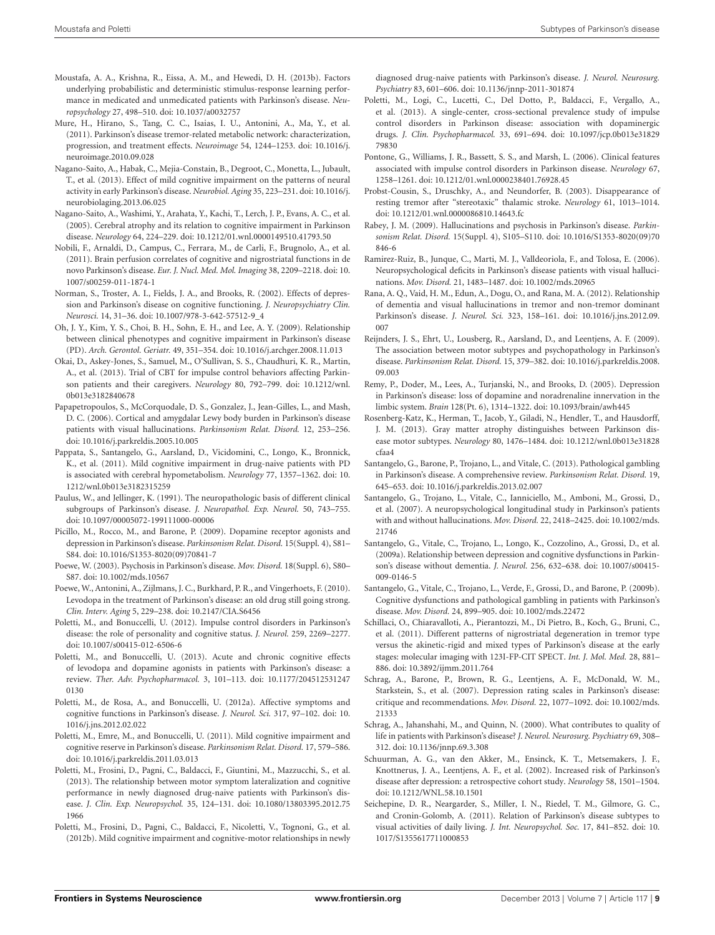- <span id="page-9-12"></span>Moustafa, A. A., Krishna, R., Eissa, A. M., and Hewedi, D. H. (2013b). Factors underlying probabilistic and deterministic stimulus-response learning performance in medicated and unmedicated patients with Parkinson's disease. *Neuropsychology* 27, 498–510. doi: 10.1037/a0032757
- <span id="page-9-8"></span>Mure, H., Hirano, S., Tang, C. C., Isaias, I. U., Antonini, A., Ma, Y., et al. (2011). Parkinson's disease tremor-related metabolic network: characterization, progression, and treatment effects. *Neuroimage* 54, 1244–1253. doi: 10.1016/j. neuroimage.2010.09.028
- <span id="page-9-6"></span>Nagano-Saito, A., Habak, C., Mejia-Constain, B., Degroot, C., Monetta, L., Jubault, T., et al. (2013). Effect of mild cognitive impairment on the patterns of neural activity in early Parkinson's disease. *Neurobiol. Aging* 35, 223–231. doi: 10.1016/j. neurobiolaging.2013.06.025
- <span id="page-9-7"></span>Nagano-Saito, A., Washimi, Y., Arahata, Y., Kachi, T., Lerch, J. P., Evans, A. C., et al. (2005). Cerebral atrophy and its relation to cognitive impairment in Parkinson disease. *Neurology* 64, 224–229. doi: 10.1212/01.wnl.0000149510.41793.50
- <span id="page-9-5"></span>Nobili, F., Arnaldi, D., Campus, C., Ferrara, M., de Carli, F., Brugnolo, A., et al. (2011). Brain perfusion correlates of cognitive and nigrostriatal functions in de novo Parkinson's disease. *Eur. J. Nucl. Med. Mol. Imaging* 38, 2209–2218. doi: 10. 1007/s00259-011-1874-1
- <span id="page-9-26"></span>Norman, S., Troster, A. I., Fields, J. A., and Brooks, R. (2002). Effects of depression and Parkinson's disease on cognitive functioning. *J. Neuropsychiatry Clin. Neurosci.* 14, 31–36. doi: 10.1007/978-3-642-57512-9\_4
- <span id="page-9-10"></span>Oh, J. Y., Kim, Y. S., Choi, B. H., Sohn, E. H., and Lee, A. Y. (2009). Relationship between clinical phenotypes and cognitive impairment in Parkinson's disease (PD). *Arch. Gerontol. Geriatr.* 49, 351–354. doi: 10.1016/j.archger.2008.11.013
- <span id="page-9-20"></span>Okai, D., Askey-Jones, S., Samuel, M., O'Sullivan, S. S., Chaudhuri, K. R., Martin, A., et al. (2013). Trial of CBT for impulse control behaviors affecting Parkinson patients and their caregivers. *Neurology* 80, 792–799. doi: 10.1212/wnl. 0b013e3182840678
- <span id="page-9-33"></span>Papapetropoulos, S., McCorquodale, D. S., Gonzalez, J., Jean-Gilles, L., and Mash, D. C. (2006). Cortical and amygdalar Lewy body burden in Parkinson's disease patients with visual hallucinations. *Parkinsonism Relat. Disord.* 12, 253–256. doi: 10.1016/j.parkreldis.2005.10.005
- <span id="page-9-4"></span>Pappata, S., Santangelo, G., Aarsland, D., Vicidomini, C., Longo, K., Bronnick, K., et al. (2011). Mild cognitive impairment in drug-naive patients with PD is associated with cerebral hypometabolism. *Neurology* 77, 1357–1362. doi: 10. 1212/wnl.0b013e3182315259
- <span id="page-9-15"></span>Paulus, W., and Jellinger, K. (1991). The neuropathologic basis of different clinical subgroups of Parkinson's disease. *J. Neuropathol. Exp. Neurol.* 50, 743–755. doi: 10.1097/00005072-199111000-00006
- <span id="page-9-23"></span>Picillo, M., Rocco, M., and Barone, P. (2009). Dopamine receptor agonists and depression in Parkinson's disease. *Parkinsonism Relat. Disord.* 15(Suppl. 4), S81– S84. doi: 10.1016/S1353-8020(09)70841-7
- <span id="page-9-30"></span>Poewe, W. (2003). Psychosis in Parkinson's disease. *Mov. Disord.* 18(Suppl. 6), S80– S87. doi: 10.1002/mds.10567
- <span id="page-9-0"></span>Poewe, W., Antonini, A., Zijlmans, J. C., Burkhard, P. R., and Vingerhoets, F. (2010). Levodopa in the treatment of Parkinson's disease: an old drug still going strong. *Clin. Interv. Aging* 5, 229–238. doi: 10.2147/CIA.S6456
- <span id="page-9-36"></span>Poletti, M., and Bonuccelli, U. (2012). Impulse control disorders in Parkinson's disease: the role of personality and cognitive status. *J. Neurol.* 259, 2269–2277. doi: 10.1007/s00415-012-6506-6
- <span id="page-9-1"></span>Poletti, M., and Bonuccelli, U. (2013). Acute and chronic cognitive effects of levodopa and dopamine agonists in patients with Parkinson's disease: a review. *Ther. Adv. Psychopharmacol.* 3, 101–113. doi: 10.1177/204512531247 0130
- <span id="page-9-2"></span>Poletti, M., de Rosa, A., and Bonuccelli, U. (2012a). Affective symptoms and cognitive functions in Parkinson's disease. *J. Neurol. Sci.* 317, 97–102. doi: 10. 1016/j.jns.2012.02.022
- <span id="page-9-14"></span>Poletti, M., Emre, M., and Bonuccelli, U. (2011). Mild cognitive impairment and cognitive reserve in Parkinson's disease. *Parkinsonism Relat. Disord.* 17, 579–586. doi: 10.1016/j.parkreldis.2011.03.013
- <span id="page-9-37"></span>Poletti, M., Frosini, D., Pagni, C., Baldacci, F., Giuntini, M., Mazzucchi, S., et al. (2013). The relationship between motor symptom lateralization and cognitive performance in newly diagnosed drug-naive patients with Parkinson's disease. *J. Clin. Exp. Neuropsychol.* 35, 124–131. doi: 10.1080/13803395.2012.75 1966
- <span id="page-9-3"></span>Poletti, M., Frosini, D., Pagni, C., Baldacci, F., Nicoletti, V., Tognoni, G., et al. (2012b). Mild cognitive impairment and cognitive-motor relationships in newly

diagnosed drug-naive patients with Parkinson's disease. *J. Neurol. Neurosurg. Psychiatry* 83, 601–606. doi: 10.1136/jnnp-2011-301874

- <span id="page-9-35"></span>Poletti, M., Logi, C., Lucetti, C., Del Dotto, P., Baldacci, F., Vergallo, A., et al. (2013). A single-center, cross-sectional prevalence study of impulse control disorders in Parkinson disease: association with dopaminergic drugs. *J. Clin. Psychopharmacol.* 33, 691–694. doi: 10.1097/jcp.0b013e31829 79830
- <span id="page-9-21"></span>Pontone, G., Williams, J. R., Bassett, S. S., and Marsh, L. (2006). Clinical features associated with impulse control disorders in Parkinson disease. *Neurology* 67, 1258–1261. doi: 10.1212/01.wnl.0000238401.76928.45
- <span id="page-9-17"></span>Probst-Cousin, S., Druschky, A., and Neundorfer, B. (2003). Disappearance of resting tremor after "stereotaxic" thalamic stroke. *Neurology* 61, 1013–1014. doi: 10.1212/01.wnl.0000086810.14643.fc
- <span id="page-9-29"></span>Rabey, J. M. (2009). Hallucinations and psychosis in Parkinson's disease. *Parkinsonism Relat. Disord.* 15(Suppl. 4), S105–S110. doi: 10.1016/S1353-8020(09)70 846-6
- <span id="page-9-32"></span>Ramirez-Ruiz, B., Junque, C., Marti, M. J., Valldeoriola, F., and Tolosa, E. (2006). Neuropsychological deficits in Parkinson's disease patients with visual hallucinations. *Mov. Disord.* 21, 1483–1487. doi: 10.1002/mds.20965
- <span id="page-9-34"></span>Rana, A. Q., Vaid, H. M., Edun, A., Dogu, O., and Rana, M. A. (2012). Relationship of dementia and visual hallucinations in tremor and non-tremor dominant Parkinson's disease. *J. Neurol. Sci.* 323, 158–161. doi: 10.1016/j.jns.2012.09. 007
- <span id="page-9-13"></span>Reijnders, J. S., Ehrt, U., Lousberg, R., Aarsland, D., and Leentjens, A. F. (2009). The association between motor subtypes and psychopathology in Parkinson's disease. *Parkinsonism Relat. Disord.* 15, 379–382. doi: 10.1016/j.parkreldis.2008. 09.003
- <span id="page-9-28"></span>Remy, P., Doder, M., Lees, A., Turjanski, N., and Brooks, D. (2005). Depression in Parkinson's disease: loss of dopamine and noradrenaline innervation in the limbic system. *Brain* 128(Pt. 6), 1314–1322. doi: 10.1093/brain/awh445
- <span id="page-9-16"></span>Rosenberg-Katz, K., Herman, T., Jacob, Y., Giladi, N., Hendler, T., and Hausdorff, J. M. (2013). Gray matter atrophy distinguishes between Parkinson disease motor subtypes. *Neurology* 80, 1476–1484. doi: 10.1212/wnl.0b013e31828 cfaa4
- <span id="page-9-19"></span>Santangelo, G., Barone, P., Trojano, L., and Vitale, C. (2013). Pathological gambling in Parkinson's disease. A comprehensive review. *Parkinsonism Relat. Disord.* 19, 645–653. doi: 10.1016/j.parkreldis.2013.02.007
- <span id="page-9-31"></span>Santangelo, G., Trojano, L., Vitale, C., Ianniciello, M., Amboni, M., Grossi, D., et al. (2007). A neuropsychological longitudinal study in Parkinson's patients with and without hallucinations. *Mov. Disord.* 22, 2418–2425. doi: 10.1002/mds. 21746
- <span id="page-9-27"></span>Santangelo, G., Vitale, C., Trojano, L., Longo, K., Cozzolino, A., Grossi, D., et al. (2009a). Relationship between depression and cognitive dysfunctions in Parkinson's disease without dementia. *J. Neurol.* 256, 632–638. doi: 10.1007/s00415- 009-0146-5
- <span id="page-9-18"></span>Santangelo, G., Vitale, C., Trojano, L., Verde, F., Grossi, D., and Barone, P. (2009b). Cognitive dysfunctions and pathological gambling in patients with Parkinson's disease. *Mov. Disord.* 24, 899–905. doi: 10.1002/mds.22472
- <span id="page-9-9"></span>Schillaci, O., Chiaravalloti, A., Pierantozzi, M., Di Pietro, B., Koch, G., Bruni, C., et al. (2011). Different patterns of nigrostriatal degeneration in tremor type versus the akinetic-rigid and mixed types of Parkinson's disease at the early stages: molecular imaging with 123I-FP-CIT SPECT. *Int. J. Mol. Med.* 28, 881– 886. doi: 10.3892/ijmm.2011.764
- <span id="page-9-22"></span>Schrag, A., Barone, P., Brown, R. G., Leentjens, A. F., McDonald, W. M., Starkstein, S., et al. (2007). Depression rating scales in Parkinson's disease: critique and recommendations. *Mov. Disord.* 22, 1077–1092. doi: 10.1002/mds. 21333
- <span id="page-9-25"></span>Schrag, A., Jahanshahi, M., and Quinn, N. (2000). What contributes to quality of life in patients with Parkinson's disease? *J. Neurol. Neurosurg. Psychiatry* 69, 308– 312. doi: 10.1136/jnnp.69.3.308
- <span id="page-9-24"></span>Schuurman, A. G., van den Akker, M., Ensinck, K. T., Metsemakers, J. F., Knottnerus, J. A., Leentjens, A. F., et al. (2002). Increased risk of Parkinson's disease after depression: a retrospective cohort study. *Neurology* 58, 1501–1504. doi: 10.1212/WNL.58.10.1501
- <span id="page-9-11"></span>Seichepine, D. R., Neargarder, S., Miller, I. N., Riedel, T. M., Gilmore, G. C., and Cronin-Golomb, A. (2011). Relation of Parkinson's disease subtypes to visual activities of daily living. *J. Int. Neuropsychol. Soc.* 17, 841–852. doi: 10. 1017/S1355617711000853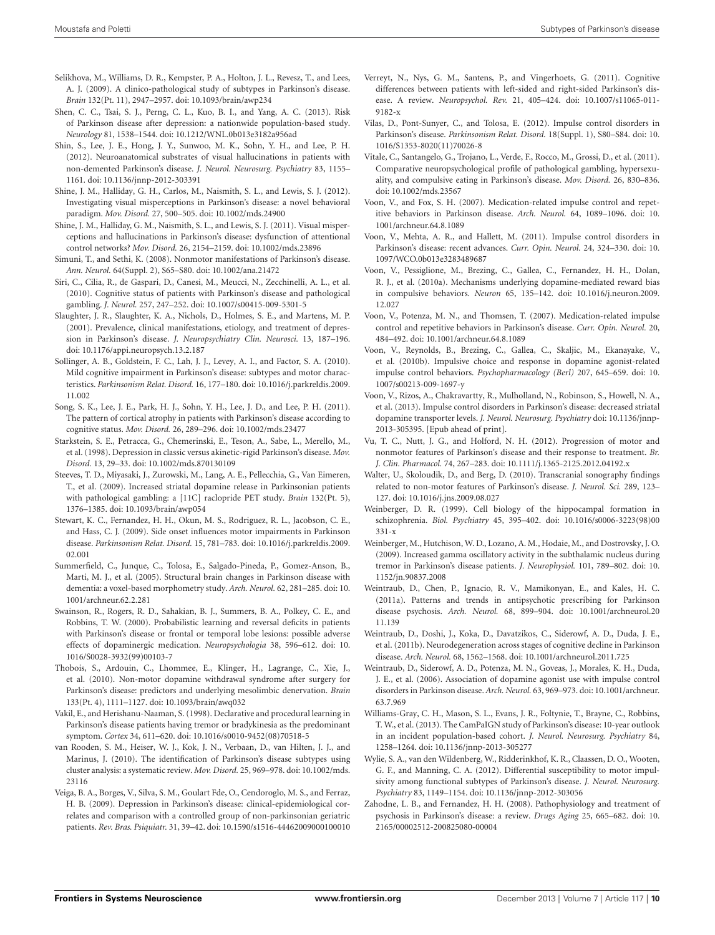- <span id="page-10-34"></span>Selikhova, M., Williams, D. R., Kempster, P. A., Holton, J. L., Revesz, T., and Lees, A. J. (2009). A clinico-pathological study of subtypes in Parkinson's disease. *Brain* 132(Pt. 11), 2947–2957. doi: 10.1093/brain/awp234
- <span id="page-10-26"></span>Shen, C. C., Tsai, S. J., Perng, C. L., Kuo, B. I., and Yang, A. C. (2013). Risk of Parkinson disease after depression: a nationwide population-based study. *Neurology* 81, 1538–1544. doi: 10.1212/WNL.0b013e3182a956ad
- <span id="page-10-35"></span>Shin, S., Lee, J. E., Hong, J. Y., Sunwoo, M. K., Sohn, Y. H., and Lee, P. H. (2012). Neuroanatomical substrates of visual hallucinations in patients with non-demented Parkinson's disease. *J. Neurol. Neurosurg. Psychiatry* 83, 1155– 1161. doi: 10.1136/jnnp-2012-303391
- <span id="page-10-30"></span>Shine, J. M., Halliday, G. H., Carlos, M., Naismith, S. L., and Lewis, S. J. (2012). Investigating visual misperceptions in Parkinson's disease: a novel behavioral paradigm. *Mov. Disord.* 27, 500–505. doi: 10.1002/mds.24900
- <span id="page-10-29"></span>Shine, J. M., Halliday, G. M., Naismith, S. L., and Lewis, S. J. (2011). Visual misperceptions and hallucinations in Parkinson's disease: dysfunction of attentional control networks? *Mov. Disord.* 26, 2154–2159. doi: 10.1002/mds.23896
- <span id="page-10-27"></span>Simuni, T., and Sethi, K. (2008). Nonmotor manifestations of Parkinson's disease. *Ann. Neurol.* 64(Suppl. 2), S65–S80. doi: 10.1002/ana.21472
- <span id="page-10-18"></span>Siri, C., Cilia, R., de Gaspari, D., Canesi, M., Meucci, N., Zecchinelli, A. L., et al. (2010). Cognitive status of patients with Parkinson's disease and pathological gambling. *J. Neurol.* 257, 247–252. doi: 10.1007/s00415-009-5301-5
- <span id="page-10-22"></span>Slaughter, J. R., Slaughter, K. A., Nichols, D., Holmes, S. E., and Martens, M. P. (2001). Prevalence, clinical manifestations, etiology, and treatment of depression in Parkinson's disease. *J. Neuropsychiatry Clin. Neurosci.* 13, 187–196. doi: 10.1176/appi.neuropsych.13.2.187
- <span id="page-10-33"></span>Sollinger, A. B., Goldstein, F. C., Lah, J. J., Levey, A. I., and Factor, S. A. (2010). Mild cognitive impairment in Parkinson's disease: subtypes and motor characteristics. *Parkinsonism Relat. Disord.* 16, 177–180. doi: 10.1016/j.parkreldis.2009. 11.002
- <span id="page-10-1"></span>Song, S. K., Lee, J. E., Park, H. J., Sohn, Y. H., Lee, J. D., and Lee, P. H. (2011). The pattern of cortical atrophy in patients with Parkinson's disease according to cognitive status. *Mov. Disord.* 26, 289–296. doi: 10.1002/mds.23477
- <span id="page-10-8"></span>Starkstein, S. E., Petracca, G., Chemerinski, E., Teson, A., Sabe, L., Merello, M., et al. (1998). Depression in classic versus akinetic-rigid Parkinson's disease. *Mov. Disord.* 13, 29–33. doi: 10.1002/mds.870130109
- <span id="page-10-19"></span>Steeves, T. D., Miyasaki, J., Zurowski, M., Lang, A. E., Pellecchia, G., Van Eimeren, T., et al. (2009). Increased striatal dopamine release in Parkinsonian patients with pathological gambling: a [11C] raclopride PET study. *Brain* 132(Pt. 5), 1376–1385. doi: 10.1093/brain/awp054
- <span id="page-10-37"></span>Stewart, K. C., Fernandez, H. H., Okun, M. S., Rodriguez, R. L., Jacobson, C. E., and Hass, C. J. (2009). Side onset influences motor impairments in Parkinson disease. *Parkinsonism Relat. Disord.* 15, 781–783. doi: 10.1016/j.parkreldis.2009. 02.001
- <span id="page-10-4"></span>Summerfield, C., Junque, C., Tolosa, E., Salgado-Pineda, P., Gomez-Anson, B., Marti, M. J., et al. (2005). Structural brain changes in Parkinson disease with dementia: a voxel-based morphometry study. *Arch. Neurol.* 62, 281–285. doi: 10. 1001/archneur.62.2.281
- <span id="page-10-20"></span>Swainson, R., Rogers, R. D., Sahakian, B. J., Summers, B. A., Polkey, C. E., and Robbins, T. W. (2000). Probabilistic learning and reversal deficits in patients with Parkinson's disease or frontal or temporal lobe lesions: possible adverse effects of dopaminergic medication. *Neuropsychologia* 38, 596–612. doi: 10. 1016/S0028-3932(99)00103-7
- <span id="page-10-25"></span>Thobois, S., Ardouin, C., Lhommee, E., Klinger, H., Lagrange, C., Xie, J., et al. (2010). Non-motor dopamine withdrawal syndrome after surgery for Parkinson's disease: predictors and underlying mesolimbic denervation. *Brain* 133(Pt. 4), 1111–1127. doi: 10.1093/brain/awq032
- <span id="page-10-7"></span>Vakil, E., and Herishanu-Naaman, S. (1998). Declarative and procedural learning in Parkinson's disease patients having tremor or bradykinesia as the predominant symptom. *Cortex* 34, 611–620. doi: 10.1016/s0010-9452(08)70518-5
- <span id="page-10-0"></span>van Rooden, S. M., Heiser, W. J., Kok, J. N., Verbaan, D., van Hilten, J. J., and Marinus, J. (2010). The identification of Parkinson's disease subtypes using cluster analysis: a systematic review. *Mov. Disord.* 25, 969–978. doi: 10.1002/mds. 23116
- <span id="page-10-23"></span>Veiga, B. A., Borges, V., Silva, S. M., Goulart Fde, O., Cendoroglo, M. S., and Ferraz, H. B. (2009). Depression in Parkinson's disease: clinical-epidemiological correlates and comparison with a controlled group of non-parkinsonian geriatric patients. *Rev. Bras. Psiquiatr.* 31, 39–42. doi: 10.1590/s1516-44462009000100010
- <span id="page-10-36"></span>Verreyt, N., Nys, G. M., Santens, P., and Vingerhoets, G. (2011). Cognitive differences between patients with left-sided and right-sided Parkinson's disease. A review. *Neuropsychol. Rev.* 21, 405–424. doi: 10.1007/s11065-011- 9182-x
- <span id="page-10-14"></span>Vilas, D., Pont-Sunyer, C., and Tolosa, E. (2012). Impulse control disorders in Parkinson's disease. *Parkinsonism Relat. Disord.* 18(Suppl. 1), S80–S84. doi: 10. 1016/S1353-8020(11)70026-8
- <span id="page-10-11"></span>Vitale, C., Santangelo, G., Trojano, L., Verde, F., Rocco, M., Grossi, D., et al. (2011). Comparative neuropsychological profile of pathological gambling, hypersexuality, and compulsive eating in Parkinson's disease. *Mov. Disord.* 26, 830–836. doi: 10.1002/mds.23567
- <span id="page-10-13"></span>Voon, V., and Fox, S. H. (2007). Medication-related impulse control and repetitive behaviors in Parkinson disease. *Arch. Neurol.* 64, 1089–1096. doi: 10. 1001/archneur.64.8.1089
- <span id="page-10-16"></span>Voon, V., Mehta, A. R., and Hallett, M. (2011). Impulse control disorders in Parkinson's disease: recent advances. *Curr. Opin. Neurol.* 24, 324–330. doi: 10. 1097/WCO.0b013e3283489687
- <span id="page-10-17"></span>Voon, V., Pessiglione, M., Brezing, C., Gallea, C., Fernandez, H. H., Dolan, R. J., et al. (2010a). Mechanisms underlying dopamine-mediated reward bias in compulsive behaviors. *Neuron* 65, 135–142. doi: 10.1016/j.neuron.2009. 12.027
- <span id="page-10-10"></span>Voon, V., Potenza, M. N., and Thomsen, T. (2007). Medication-related impulse control and repetitive behaviors in Parkinson's disease. *Curr. Opin. Neurol.* 20, 484–492. doi: 10.1001/archneur.64.8.1089
- <span id="page-10-15"></span>Voon, V., Reynolds, B., Brezing, C., Gallea, C., Skaljic, M., Ekanayake, V., et al. (2010b). Impulsive choice and response in dopamine agonist-related impulse control behaviors. *Psychopharmacology (Berl)* 207, 645–659. doi: 10. 1007/s00213-009-1697-y
- <span id="page-10-21"></span>Voon, V., Rizos, A., Chakravartty, R., Mulholland, N., Robinson, S., Howell, N. A., et al. (2013). Impulse control disorders in Parkinson's disease: decreased striatal dopamine transporter levels. *J. Neurol. Neurosurg. Psychiatry* doi: 10.1136/jnnp-2013-305395. [Epub ahead of print].
- <span id="page-10-32"></span>Vu, T. C., Nutt, J. G., and Holford, N. H. (2012). Progression of motor and nonmotor features of Parkinson's disease and their response to treatment. *Br. J. Clin. Pharmacol.* 74, 267–283. doi: 10.1111/j.1365-2125.2012.04192.x
- <span id="page-10-24"></span>Walter, U., Skoloudik, D., and Berg, D. (2010). Transcranial sonography findings related to non-motor features of Parkinson's disease. *J. Neurol. Sci.* 289, 123– 127. doi: 10.1016/j.jns.2009.08.027
- <span id="page-10-31"></span>Weinberger, D. R. (1999). Cell biology of the hippocampal formation in schizophrenia. *Biol. Psychiatry* 45, 395–402. doi: 10.1016/s0006-3223(98)00 331-x
- <span id="page-10-9"></span>Weinberger, M., Hutchison, W. D., Lozano, A. M., Hodaie, M., and Dostrovsky, J. O. (2009). Increased gamma oscillatory activity in the subthalamic nucleus during tremor in Parkinson's disease patients. *J. Neurophysiol.* 101, 789–802. doi: 10. 1152/jn.90837.2008
- <span id="page-10-2"></span>Weintraub, D., Chen, P., Ignacio, R. V., Mamikonyan, E., and Kales, H. C. (2011a). Patterns and trends in antipsychotic prescribing for Parkinson disease psychosis. *Arch. Neurol.* 68, 899–904. doi: 10.1001/archneurol.20 11.139
- <span id="page-10-5"></span>Weintraub, D., Doshi, J., Koka, D., Davatzikos, C., Siderowf, A. D., Duda, J. E., et al. (2011b). Neurodegeneration across stages of cognitive decline in Parkinson disease. *Arch. Neurol.* 68, 1562–1568. doi: 10.1001/archneurol.2011.725
- <span id="page-10-12"></span>Weintraub, D., Siderowf, A. D., Potenza, M. N., Goveas, J., Morales, K. H., Duda, J. E., et al. (2006). Association of dopamine agonist use with impulse control disorders in Parkinson disease. *Arch. Neurol.* 63, 969–973. doi: 10.1001/archneur. 63.7.969
- <span id="page-10-3"></span>Williams-Gray, C. H., Mason, S. L., Evans, J. R., Foltynie, T., Brayne, C., Robbins, T. W., et al. (2013). The CamPaIGN study of Parkinson's disease: 10-year outlook in an incident population-based cohort. *J. Neurol. Neurosurg. Psychiatry* 84, 1258–1264. doi: 10.1136/jnnp-2013-305277
- <span id="page-10-6"></span>Wylie, S. A., van den Wildenberg, W., Ridderinkhof, K. R., Claassen, D. O., Wooten, G. F., and Manning, C. A. (2012). Differential susceptibility to motor impulsivity among functional subtypes of Parkinson's disease. *J. Neurol. Neurosurg. Psychiatry* 83, 1149–1154. doi: 10.1136/jnnp-2012-303056
- <span id="page-10-28"></span>Zahodne, L. B., and Fernandez, H. H. (2008). Pathophysiology and treatment of psychosis in Parkinson's disease: a review. *Drugs Aging* 25, 665–682. doi: 10. 2165/00002512-200825080-00004